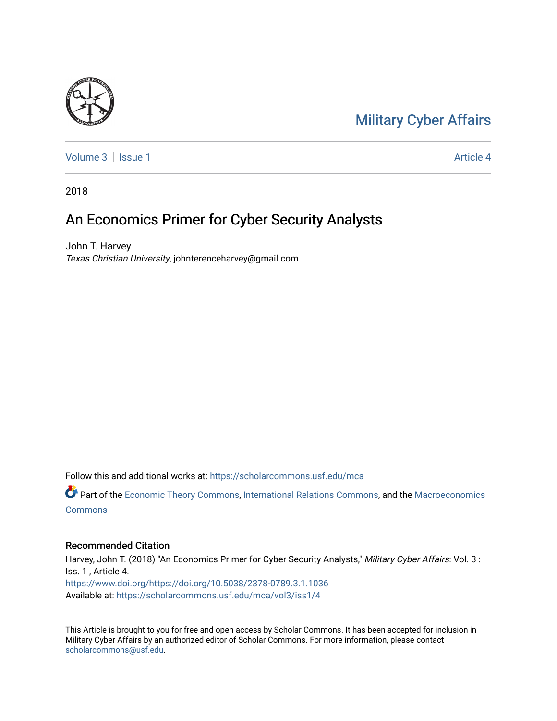# [Military Cyber Affairs](https://scholarcommons.usf.edu/mca)



[Volume 3](https://scholarcommons.usf.edu/mca/vol3) | [Issue 1](https://scholarcommons.usf.edu/mca/vol3/iss1) Article 4

2018

## An Economics Primer for Cyber Security Analysts

John T. Harvey Texas Christian University, johnterenceharvey@gmail.com

Follow this and additional works at: [https://scholarcommons.usf.edu/mca](https://scholarcommons.usf.edu/mca?utm_source=scholarcommons.usf.edu%2Fmca%2Fvol3%2Fiss1%2F4&utm_medium=PDF&utm_campaign=PDFCoverPages)

Part of the [Economic Theory Commons](http://network.bepress.com/hgg/discipline/344?utm_source=scholarcommons.usf.edu%2Fmca%2Fvol3%2Fiss1%2F4&utm_medium=PDF&utm_campaign=PDFCoverPages), [International Relations Commons,](http://network.bepress.com/hgg/discipline/389?utm_source=scholarcommons.usf.edu%2Fmca%2Fvol3%2Fiss1%2F4&utm_medium=PDF&utm_campaign=PDFCoverPages) and the [Macroeconomics](http://network.bepress.com/hgg/discipline/350?utm_source=scholarcommons.usf.edu%2Fmca%2Fvol3%2Fiss1%2F4&utm_medium=PDF&utm_campaign=PDFCoverPages) **[Commons](http://network.bepress.com/hgg/discipline/350?utm_source=scholarcommons.usf.edu%2Fmca%2Fvol3%2Fiss1%2F4&utm_medium=PDF&utm_campaign=PDFCoverPages)** 

#### Recommended Citation

Harvey, John T. (2018) "An Economics Primer for Cyber Security Analysts," Military Cyber Affairs: Vol. 3 : Iss. 1 , Article 4. [https://www.doi.org/https://doi.org/10.5038/2378-0789.3.1.1036](https://doi.org/https://doi.org/10.5038/2378-0789.3.1.1036) Available at: [https://scholarcommons.usf.edu/mca/vol3/iss1/4](https://scholarcommons.usf.edu/mca/vol3/iss1/4?utm_source=scholarcommons.usf.edu%2Fmca%2Fvol3%2Fiss1%2F4&utm_medium=PDF&utm_campaign=PDFCoverPages)

This Article is brought to you for free and open access by Scholar Commons. It has been accepted for inclusion in Military Cyber Affairs by an authorized editor of Scholar Commons. For more information, please contact [scholarcommons@usf.edu.](mailto:scholarcommons@usf.edu)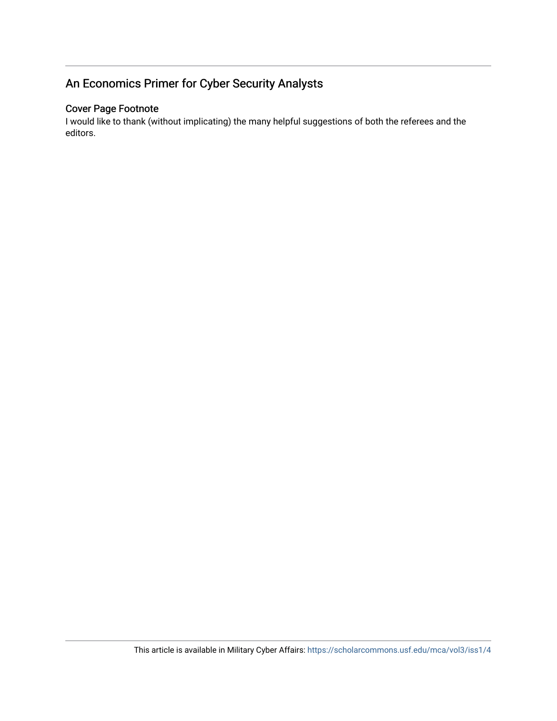## An Economics Primer for Cyber Security Analysts

## Cover Page Footnote

I would like to thank (without implicating) the many helpful suggestions of both the referees and the editors.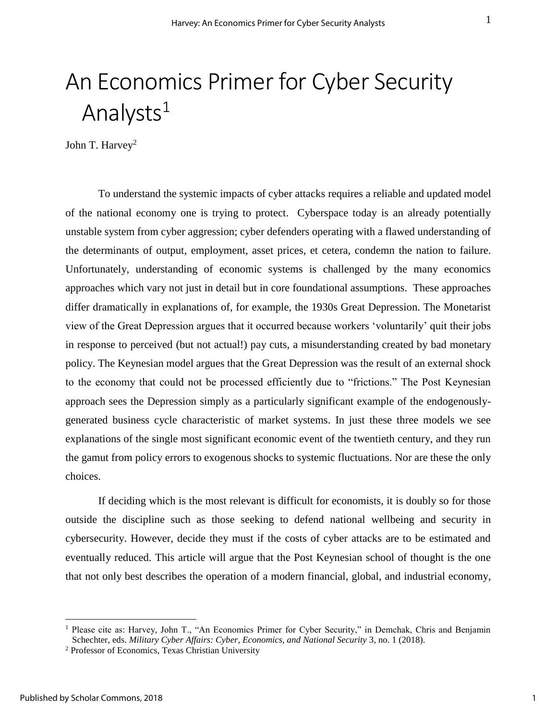# An Economics Primer for Cyber Security Analysts $1$

John T. Harvey<sup>2</sup>

To understand the systemic impacts of cyber attacks requires a reliable and updated model of the national economy one is trying to protect. Cyberspace today is an already potentially unstable system from cyber aggression; cyber defenders operating with a flawed understanding of the determinants of output, employment, asset prices, et cetera, condemn the nation to failure. Unfortunately, understanding of economic systems is challenged by the many economics approaches which vary not just in detail but in core foundational assumptions. These approaches differ dramatically in explanations of, for example, the 1930s Great Depression. The Monetarist view of the Great Depression argues that it occurred because workers 'voluntarily' quit their jobs in response to perceived (but not actual!) pay cuts, a misunderstanding created by bad monetary policy. The Keynesian model argues that the Great Depression was the result of an external shock to the economy that could not be processed efficiently due to "frictions." The Post Keynesian approach sees the Depression simply as a particularly significant example of the endogenouslygenerated business cycle characteristic of market systems. In just these three models we see explanations of the single most significant economic event of the twentieth century, and they run the gamut from policy errors to exogenous shocks to systemic fluctuations. Nor are these the only choices.

If deciding which is the most relevant is difficult for economists, it is doubly so for those outside the discipline such as those seeking to defend national wellbeing and security in cybersecurity. However, decide they must if the costs of cyber attacks are to be estimated and eventually reduced. This article will argue that the Post Keynesian school of thought is the one that not only best describes the operation of a modern financial, global, and industrial economy,

<sup>&</sup>lt;sup>1</sup> Please cite as: Harvey, John T., "An Economics Primer for Cyber Security," in Demchak, Chris and Benjamin Schechter, eds. *Military Cyber Affairs: Cyber, Economics, and National Security* 3, no. 1 (2018).

<sup>2</sup> Professor of Economics, Texas Christian University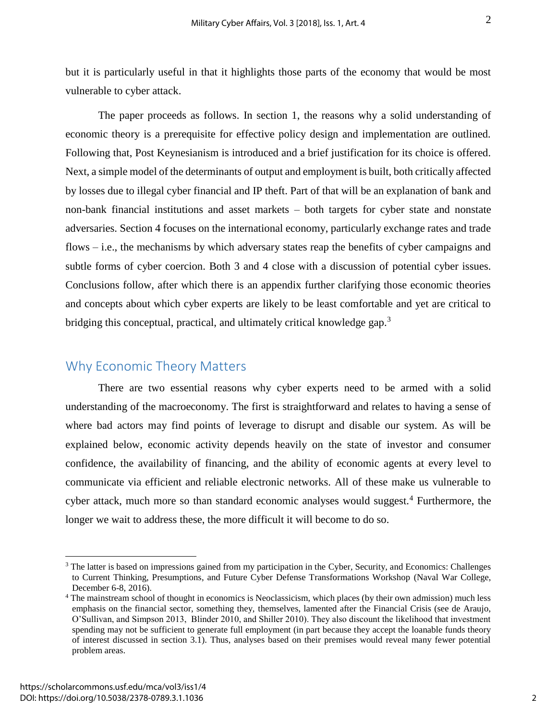but it is particularly useful in that it highlights those parts of the economy that would be most vulnerable to cyber attack.

The paper proceeds as follows. In section 1, the reasons why a solid understanding of economic theory is a prerequisite for effective policy design and implementation are outlined. Following that, Post Keynesianism is introduced and a brief justification for its choice is offered. Next, a simple model of the determinants of output and employment is built, both critically affected by losses due to illegal cyber financial and IP theft. Part of that will be an explanation of bank and non-bank financial institutions and asset markets – both targets for cyber state and nonstate adversaries. Section 4 focuses on the international economy, particularly exchange rates and trade flows – i.e., the mechanisms by which adversary states reap the benefits of cyber campaigns and subtle forms of cyber coercion. Both 3 and 4 close with a discussion of potential cyber issues. Conclusions follow, after which there is an appendix further clarifying those economic theories and concepts about which cyber experts are likely to be least comfortable and yet are critical to bridging this conceptual, practical, and ultimately critical knowledge gap.<sup>3</sup>

## Why Economic Theory Matters

There are two essential reasons why cyber experts need to be armed with a solid understanding of the macroeconomy. The first is straightforward and relates to having a sense of where bad actors may find points of leverage to disrupt and disable our system. As will be explained below, economic activity depends heavily on the state of investor and consumer confidence, the availability of financing, and the ability of economic agents at every level to communicate via efficient and reliable electronic networks. All of these make us vulnerable to cyber attack, much more so than standard economic analyses would suggest.<sup>4</sup> Furthermore, the longer we wait to address these, the more difficult it will become to do so.

<sup>&</sup>lt;sup>3</sup> The latter is based on impressions gained from my participation in the Cyber, Security, and Economics: Challenges to Current Thinking, Presumptions, and Future Cyber Defense Transformations Workshop (Naval War College, December 6-8, 2016).

<sup>4</sup> The mainstream school of thought in economics is Neoclassicism, which places (by their own admission) much less emphasis on the financial sector, something they, themselves, lamented after the Financial Crisis (see de Araujo, O'Sullivan, and Simpson 2013, Blinder 2010, and Shiller 2010). They also discount the likelihood that investment spending may not be sufficient to generate full employment (in part because they accept the loanable funds theory of interest discussed in section 3.1). Thus, analyses based on their premises would reveal many fewer potential problem areas.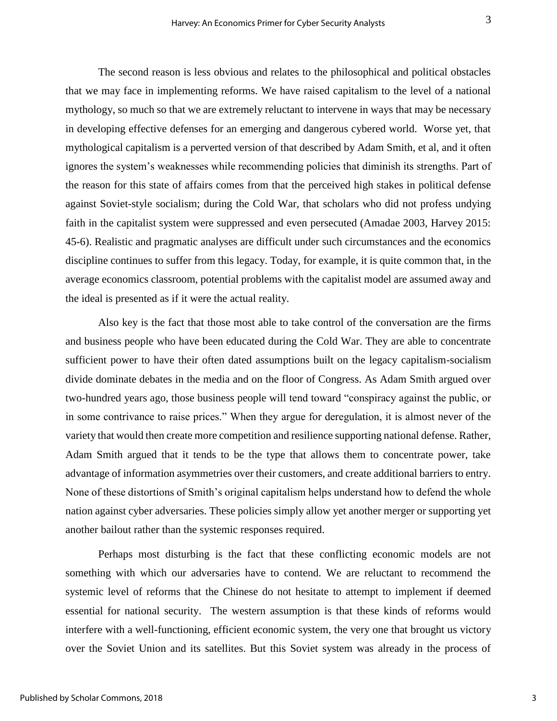The second reason is less obvious and relates to the philosophical and political obstacles that we may face in implementing reforms. We have raised capitalism to the level of a national mythology, so much so that we are extremely reluctant to intervene in ways that may be necessary in developing effective defenses for an emerging and dangerous cybered world. Worse yet, that mythological capitalism is a perverted version of that described by Adam Smith, et al, and it often ignores the system's weaknesses while recommending policies that diminish its strengths. Part of the reason for this state of affairs comes from that the perceived high stakes in political defense against Soviet-style socialism; during the Cold War, that scholars who did not profess undying faith in the capitalist system were suppressed and even persecuted (Amadae 2003, Harvey 2015: 45-6). Realistic and pragmatic analyses are difficult under such circumstances and the economics discipline continues to suffer from this legacy. Today, for example, it is quite common that, in the average economics classroom, potential problems with the capitalist model are assumed away and the ideal is presented as if it were the actual reality.

Also key is the fact that those most able to take control of the conversation are the firms and business people who have been educated during the Cold War. They are able to concentrate sufficient power to have their often dated assumptions built on the legacy capitalism-socialism divide dominate debates in the media and on the floor of Congress. As Adam Smith argued over two-hundred years ago, those business people will tend toward "conspiracy against the public, or in some contrivance to raise prices." When they argue for deregulation, it is almost never of the variety that would then create more competition and resilience supporting national defense. Rather, Adam Smith argued that it tends to be the type that allows them to concentrate power, take advantage of information asymmetries over their customers, and create additional barriers to entry. None of these distortions of Smith's original capitalism helps understand how to defend the whole nation against cyber adversaries. These policies simply allow yet another merger or supporting yet another bailout rather than the systemic responses required.

Perhaps most disturbing is the fact that these conflicting economic models are not something with which our adversaries have to contend. We are reluctant to recommend the systemic level of reforms that the Chinese do not hesitate to attempt to implement if deemed essential for national security. The western assumption is that these kinds of reforms would interfere with a well-functioning, efficient economic system, the very one that brought us victory over the Soviet Union and its satellites. But this Soviet system was already in the process of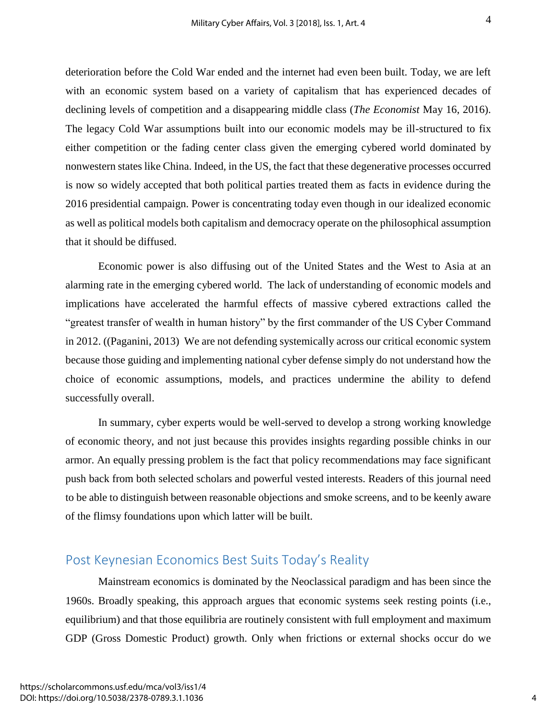deterioration before the Cold War ended and the internet had even been built. Today, we are left with an economic system based on a variety of capitalism that has experienced decades of declining levels of competition and a disappearing middle class (*The Economist* May 16, 2016). The legacy Cold War assumptions built into our economic models may be ill-structured to fix either competition or the fading center class given the emerging cybered world dominated by nonwestern states like China. Indeed, in the US, the fact that these degenerative processes occurred is now so widely accepted that both political parties treated them as facts in evidence during the 2016 presidential campaign. Power is concentrating today even though in our idealized economic as well as political models both capitalism and democracy operate on the philosophical assumption that it should be diffused.

Economic power is also diffusing out of the United States and the West to Asia at an alarming rate in the emerging cybered world. The lack of understanding of economic models and implications have accelerated the harmful effects of massive cybered extractions called the "greatest transfer of wealth in human history" by the first commander of the US Cyber Command in 2012. ((Paganini, 2013) We are not defending systemically across our critical economic system because those guiding and implementing national cyber defense simply do not understand how the choice of economic assumptions, models, and practices undermine the ability to defend successfully overall.

In summary, cyber experts would be well-served to develop a strong working knowledge of economic theory, and not just because this provides insights regarding possible chinks in our armor. An equally pressing problem is the fact that policy recommendations may face significant push back from both selected scholars and powerful vested interests. Readers of this journal need to be able to distinguish between reasonable objections and smoke screens, and to be keenly aware of the flimsy foundations upon which latter will be built.

## Post Keynesian Economics Best Suits Today's Reality

Mainstream economics is dominated by the Neoclassical paradigm and has been since the 1960s. Broadly speaking, this approach argues that economic systems seek resting points (i.e., equilibrium) and that those equilibria are routinely consistent with full employment and maximum GDP (Gross Domestic Product) growth. Only when frictions or external shocks occur do we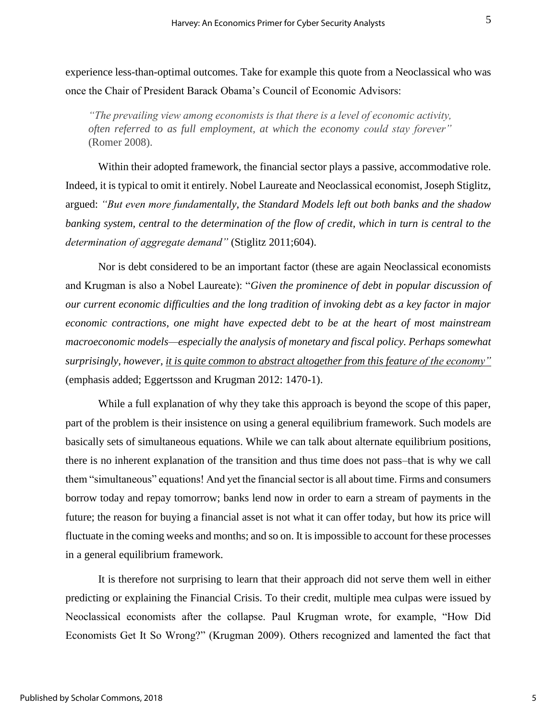experience less-than-optimal outcomes. Take for example this quote from a Neoclassical who was once the Chair of President Barack Obama's Council of Economic Advisors:

*"The prevailing view among economists is that there is a level of economic activity, often referred to as full employment, at which the economy could stay forever"*  (Romer 2008).

Within their adopted framework, the financial sector plays a passive, accommodative role. Indeed, it is typical to omit it entirely. Nobel Laureate and Neoclassical economist, Joseph Stiglitz, argued: *"But even more fundamentally, the Standard Models left out both banks and the shadow banking system, central to the determination of the flow of credit, which in turn is central to the determination of aggregate demand"* (Stiglitz 2011;604).

Nor is debt considered to be an important factor (these are again Neoclassical economists and Krugman is also a Nobel Laureate): "*Given the prominence of debt in popular discussion of our current economic difficulties and the long tradition of invoking debt as a key factor in major economic contractions, one might have expected debt to be at the heart of most mainstream macroeconomic models—especially the analysis of monetary and fiscal policy. Perhaps somewhat surprisingly, however, it is quite common to abstract altogether from this feature of the economy"* (emphasis added; Eggertsson and Krugman 2012: 1470-1).

While a full explanation of why they take this approach is beyond the scope of this paper, part of the problem is their insistence on using a general equilibrium framework. Such models are basically sets of simultaneous equations. While we can talk about alternate equilibrium positions, there is no inherent explanation of the transition and thus time does not pass–that is why we call them "simultaneous" equations! And yet the financial sector is all about time. Firms and consumers borrow today and repay tomorrow; banks lend now in order to earn a stream of payments in the future; the reason for buying a financial asset is not what it can offer today, but how its price will fluctuate in the coming weeks and months; and so on. It is impossible to account for these processes in a general equilibrium framework.

It is therefore not surprising to learn that their approach did not serve them well in either predicting or explaining the Financial Crisis. To their credit, multiple mea culpas were issued by Neoclassical economists after the collapse. Paul Krugman wrote, for example, "How Did Economists Get It So Wrong?" (Krugman 2009). Others recognized and lamented the fact that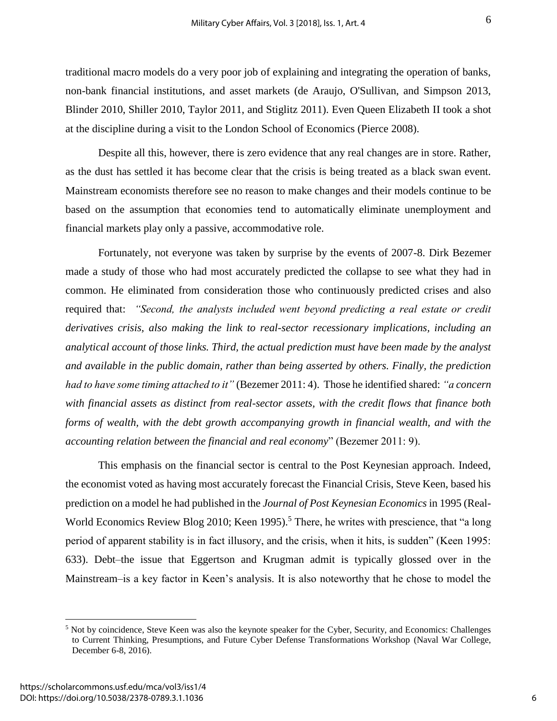traditional macro models do a very poor job of explaining and integrating the operation of banks, non-bank financial institutions, and asset markets (de Araujo, O'Sullivan, and Simpson 2013, Blinder 2010, Shiller 2010, Taylor 2011, and Stiglitz 2011). Even Queen Elizabeth II took a shot at the discipline during a visit to the London School of Economics (Pierce 2008).

Despite all this, however, there is zero evidence that any real changes are in store. Rather, as the dust has settled it has become clear that the crisis is being treated as a black swan event. Mainstream economists therefore see no reason to make changes and their models continue to be based on the assumption that economies tend to automatically eliminate unemployment and financial markets play only a passive, accommodative role.

Fortunately, not everyone was taken by surprise by the events of 2007-8. Dirk Bezemer made a study of those who had most accurately predicted the collapse to see what they had in common. He eliminated from consideration those who continuously predicted crises and also required that: *"Second, the analysts included went beyond predicting a real estate or credit derivatives crisis, also making the link to real-sector recessionary implications, including an analytical account of those links. Third, the actual prediction must have been made by the analyst and available in the public domain, rather than being asserted by others. Finally, the prediction had to have some timing attached to it"* (Bezemer 2011: 4). Those he identified shared: *"a concern with financial assets as distinct from real-sector assets, with the credit flows that finance both forms of wealth, with the debt growth accompanying growth in financial wealth, and with the accounting relation between the financial and real economy*" (Bezemer 2011: 9).

This emphasis on the financial sector is central to the Post Keynesian approach. Indeed, the economist voted as having most accurately forecast the Financial Crisis, Steve Keen, based his prediction on a model he had published in the *Journal of Post Keynesian Economics* in 1995 (Real-World Economics Review Blog 2010; Keen 1995).<sup>5</sup> There, he writes with prescience, that "a long period of apparent stability is in fact illusory, and the crisis, when it hits, is sudden" (Keen 1995: 633). Debt–the issue that Eggertson and Krugman admit is typically glossed over in the Mainstream–is a key factor in Keen's analysis. It is also noteworthy that he chose to model the

<sup>5</sup> Not by coincidence, Steve Keen was also the keynote speaker for the Cyber, Security, and Economics: Challenges to Current Thinking, Presumptions, and Future Cyber Defense Transformations Workshop (Naval War College, December 6-8, 2016).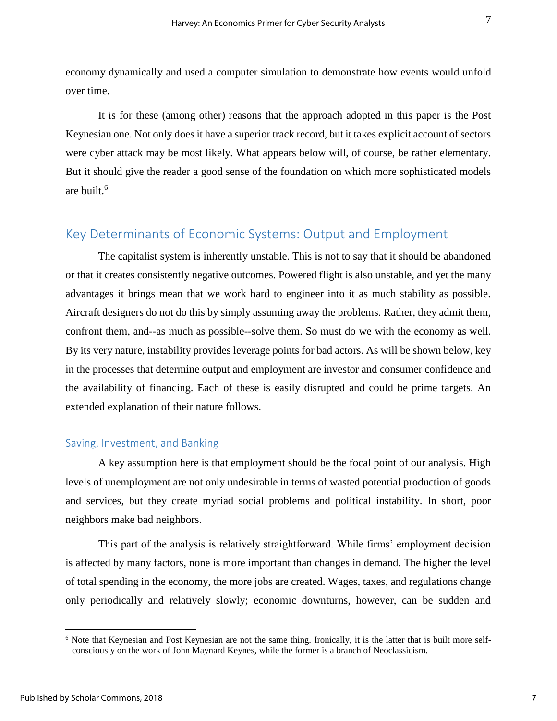economy dynamically and used a computer simulation to demonstrate how events would unfold over time.

It is for these (among other) reasons that the approach adopted in this paper is the Post Keynesian one. Not only does it have a superior track record, but it takes explicit account of sectors were cyber attack may be most likely. What appears below will, of course, be rather elementary. But it should give the reader a good sense of the foundation on which more sophisticated models are built.<sup>6</sup>

## Key Determinants of Economic Systems: Output and Employment

The capitalist system is inherently unstable. This is not to say that it should be abandoned or that it creates consistently negative outcomes. Powered flight is also unstable, and yet the many advantages it brings mean that we work hard to engineer into it as much stability as possible. Aircraft designers do not do this by simply assuming away the problems. Rather, they admit them, confront them, and--as much as possible--solve them. So must do we with the economy as well. By its very nature, instability provides leverage points for bad actors. As will be shown below, key in the processes that determine output and employment are investor and consumer confidence and the availability of financing. Each of these is easily disrupted and could be prime targets. An extended explanation of their nature follows.

#### Saving, Investment, and Banking

A key assumption here is that employment should be the focal point of our analysis. High levels of unemployment are not only undesirable in terms of wasted potential production of goods and services, but they create myriad social problems and political instability. In short, poor neighbors make bad neighbors.

This part of the analysis is relatively straightforward. While firms' employment decision is affected by many factors, none is more important than changes in demand. The higher the level of total spending in the economy, the more jobs are created. Wages, taxes, and regulations change only periodically and relatively slowly; economic downturns, however, can be sudden and

<sup>6</sup> Note that Keynesian and Post Keynesian are not the same thing. Ironically, it is the latter that is built more selfconsciously on the work of John Maynard Keynes, while the former is a branch of Neoclassicism.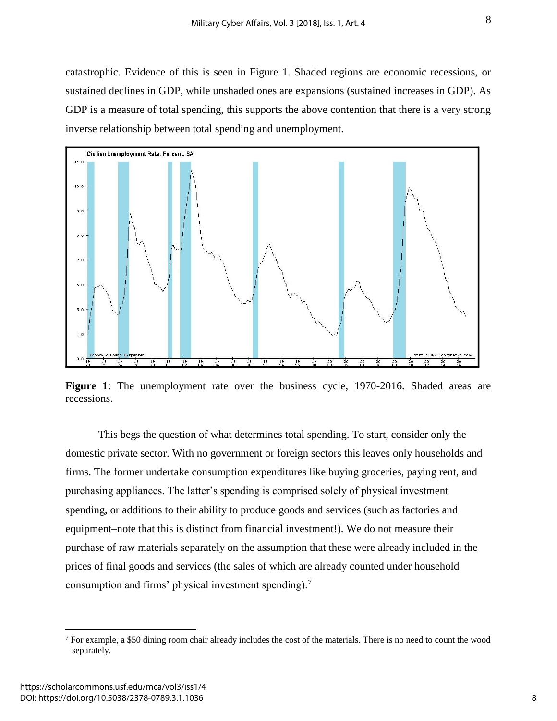catastrophic. Evidence of this is seen in Figure 1. Shaded regions are economic recessions, or sustained declines in GDP, while unshaded ones are expansions (sustained increases in GDP). As GDP is a measure of total spending, this supports the above contention that there is a very strong inverse relationship between total spending and unemployment.



**Figure 1**: The unemployment rate over the business cycle, 1970-2016. Shaded areas are recessions.

This begs the question of what determines total spending. To start, consider only the domestic private sector. With no government or foreign sectors this leaves only households and firms. The former undertake consumption expenditures like buying groceries, paying rent, and purchasing appliances. The latter's spending is comprised solely of physical investment spending, or additions to their ability to produce goods and services (such as factories and equipment–note that this is distinct from financial investment!). We do not measure their purchase of raw materials separately on the assumption that these were already included in the prices of final goods and services (the sales of which are already counted under household consumption and firms' physical investment spending).<sup>7</sup>

 $7$  For example, a \$50 dining room chair already includes the cost of the materials. There is no need to count the wood separately.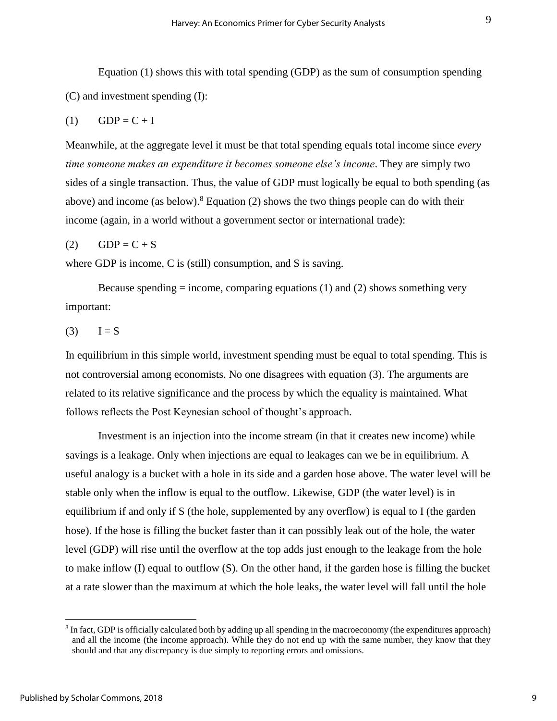Equation (1) shows this with total spending (GDP) as the sum of consumption spending (C) and investment spending (I):

$$
(1) \qquad GDP = C + I
$$

Meanwhile, at the aggregate level it must be that total spending equals total income since *every time someone makes an expenditure it becomes someone else's income*. They are simply two sides of a single transaction. Thus, the value of GDP must logically be equal to both spending (as above) and income (as below).<sup>8</sup> Equation (2) shows the two things people can do with their income (again, in a world without a government sector or international trade):

$$
(2) \qquad GDP = C + S
$$

where GDP is income, C is (still) consumption, and S is saving.

Because spending  $=$  income, comparing equations (1) and (2) shows something very important:

 $(3)$   $I = S$ 

In equilibrium in this simple world, investment spending must be equal to total spending. This is not controversial among economists. No one disagrees with equation (3). The arguments are related to its relative significance and the process by which the equality is maintained. What follows reflects the Post Keynesian school of thought's approach.

Investment is an injection into the income stream (in that it creates new income) while savings is a leakage. Only when injections are equal to leakages can we be in equilibrium. A useful analogy is a bucket with a hole in its side and a garden hose above. The water level will be stable only when the inflow is equal to the outflow. Likewise, GDP (the water level) is in equilibrium if and only if S (the hole, supplemented by any overflow) is equal to I (the garden hose). If the hose is filling the bucket faster than it can possibly leak out of the hole, the water level (GDP) will rise until the overflow at the top adds just enough to the leakage from the hole to make inflow (I) equal to outflow (S). On the other hand, if the garden hose is filling the bucket at a rate slower than the maximum at which the hole leaks, the water level will fall until the hole

<sup>&</sup>lt;sup>8</sup> In fact, GDP is officially calculated both by adding up all spending in the macroeconomy (the expenditures approach) and all the income (the income approach). While they do not end up with the same number, they know that they should and that any discrepancy is due simply to reporting errors and omissions.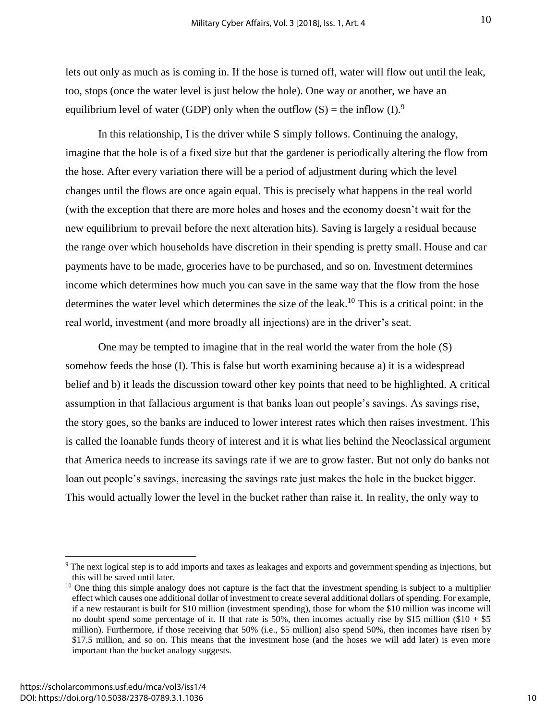lets out only as much as is coming in. If the hose is turned off, water will flow out until the leak, too, stops (once the water level is just below the hole). One way or another, we have an equilibrium level of water (GDP) only when the outflow  $(S)$  = the inflow  $(I)$ .<sup>9</sup>

In this relationship, I is the driver while S simply follows. Continuing the analogy, imagine that the hole is of a fixed size but that the gardener is periodically altering the flow from the hose. After every variation there will be a period of adjustment during which the level changes until the flows are once again equal. This is precisely what happens in the real world (with the exception that there are more holes and hoses and the economy doesn't wait for the new equilibrium to prevail before the next alteration hits). Saving is largely a residual because the range over which households have discretion in their spending is pretty small. House and car payments have to be made, groceries have to be purchased, and so on. Investment determines income which determines how much you can save in the same way that the flow from the hose determines the water level which determines the size of the leak.<sup>10</sup> This is a critical point: in the real world, investment (and more broadly all injections) are in the driver's seat.

One may be tempted to imagine that in the real world the water from the hole (S) somehow feeds the hose (I). This is false but worth examining because a) it is a widespread belief and b) it leads the discussion toward other key points that need to be highlighted. A critical assumption in that fallacious argument is that banks loan out people's savings. As savings rise, the story goes, so the banks are induced to lower interest rates which then raises investment. This is called the loanable funds theory of interest and it is what lies behind the Neoclassical argument that America needs to increase its savings rate if we are to grow faster. But not only do banks not loan out people's savings, increasing the savings rate just makes the hole in the bucket bigger. This would actually lower the level in the bucket rather than raise it. In reality, the only way to

<sup>9</sup> The next logical step is to add imports and taxes as leakages and exports and government spending as injections, but this will be saved until later.

 $10$  One thing this simple analogy does not capture is the fact that the investment spending is subject to a multiplier effect which causes one additional dollar of investment to create several additional dollars of spending. For example, if a new restaurant is built for \$10 million (investment spending), those for whom the \$10 million was income will no doubt spend some percentage of it. If that rate is 50%, then incomes actually rise by \$15 million (\$10 + \$5 million). Furthermore, if those receiving that 50% (i.e., \$5 million) also spend 50%, then incomes have risen by \$17.5 million, and so on. This means that the investment hose (and the hoses we will add later) is even more important than the bucket analogy suggests.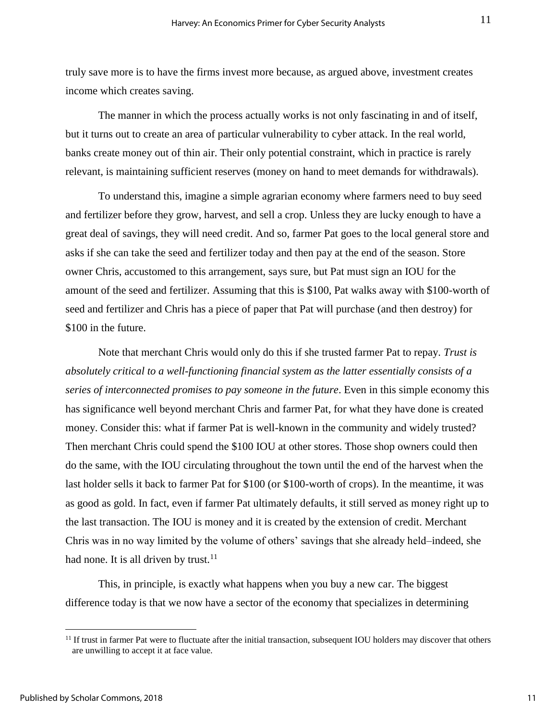truly save more is to have the firms invest more because, as argued above, investment creates income which creates saving.

The manner in which the process actually works is not only fascinating in and of itself, but it turns out to create an area of particular vulnerability to cyber attack. In the real world, banks create money out of thin air. Their only potential constraint, which in practice is rarely relevant, is maintaining sufficient reserves (money on hand to meet demands for withdrawals).

To understand this, imagine a simple agrarian economy where farmers need to buy seed and fertilizer before they grow, harvest, and sell a crop. Unless they are lucky enough to have a great deal of savings, they will need credit. And so, farmer Pat goes to the local general store and asks if she can take the seed and fertilizer today and then pay at the end of the season. Store owner Chris, accustomed to this arrangement, says sure, but Pat must sign an IOU for the amount of the seed and fertilizer. Assuming that this is \$100, Pat walks away with \$100-worth of seed and fertilizer and Chris has a piece of paper that Pat will purchase (and then destroy) for \$100 in the future.

Note that merchant Chris would only do this if she trusted farmer Pat to repay. *Trust is absolutely critical to a well-functioning financial system as the latter essentially consists of a series of interconnected promises to pay someone in the future*. Even in this simple economy this has significance well beyond merchant Chris and farmer Pat, for what they have done is created money. Consider this: what if farmer Pat is well-known in the community and widely trusted? Then merchant Chris could spend the \$100 IOU at other stores. Those shop owners could then do the same, with the IOU circulating throughout the town until the end of the harvest when the last holder sells it back to farmer Pat for \$100 (or \$100-worth of crops). In the meantime, it was as good as gold. In fact, even if farmer Pat ultimately defaults, it still served as money right up to the last transaction. The IOU is money and it is created by the extension of credit. Merchant Chris was in no way limited by the volume of others' savings that she already held–indeed, she had none. It is all driven by trust.<sup>11</sup>

This, in principle, is exactly what happens when you buy a new car. The biggest difference today is that we now have a sector of the economy that specializes in determining

 $11$  If trust in farmer Pat were to fluctuate after the initial transaction, subsequent IOU holders may discover that others are unwilling to accept it at face value.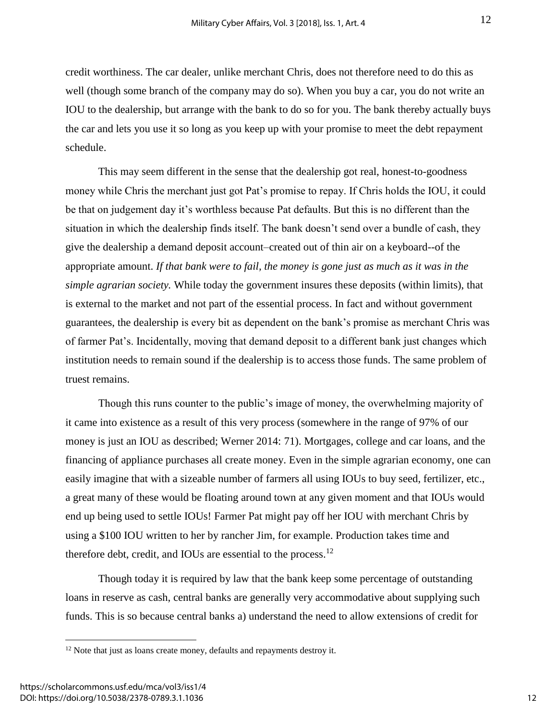credit worthiness. The car dealer, unlike merchant Chris, does not therefore need to do this as well (though some branch of the company may do so). When you buy a car, you do not write an IOU to the dealership, but arrange with the bank to do so for you. The bank thereby actually buys the car and lets you use it so long as you keep up with your promise to meet the debt repayment schedule.

This may seem different in the sense that the dealership got real, honest-to-goodness money while Chris the merchant just got Pat's promise to repay. If Chris holds the IOU, it could be that on judgement day it's worthless because Pat defaults. But this is no different than the situation in which the dealership finds itself. The bank doesn't send over a bundle of cash, they give the dealership a demand deposit account–created out of thin air on a keyboard--of the appropriate amount. *If that bank were to fail, the money is gone just as much as it was in the simple agrarian society.* While today the government insures these deposits (within limits), that is external to the market and not part of the essential process. In fact and without government guarantees, the dealership is every bit as dependent on the bank's promise as merchant Chris was of farmer Pat's. Incidentally, moving that demand deposit to a different bank just changes which institution needs to remain sound if the dealership is to access those funds. The same problem of truest remains.

Though this runs counter to the public's image of money, the overwhelming majority of it came into existence as a result of this very process (somewhere in the range of 97% of our money is just an IOU as described; Werner 2014: 71). Mortgages, college and car loans, and the financing of appliance purchases all create money. Even in the simple agrarian economy, one can easily imagine that with a sizeable number of farmers all using IOUs to buy seed, fertilizer, etc., a great many of these would be floating around town at any given moment and that IOUs would end up being used to settle IOUs! Farmer Pat might pay off her IOU with merchant Chris by using a \$100 IOU written to her by rancher Jim, for example. Production takes time and therefore debt, credit, and IOUs are essential to the process.<sup>12</sup>

Though today it is required by law that the bank keep some percentage of outstanding loans in reserve as cash, central banks are generally very accommodative about supplying such funds. This is so because central banks a) understand the need to allow extensions of credit for

<sup>&</sup>lt;sup>12</sup> Note that just as loans create money, defaults and repayments destroy it.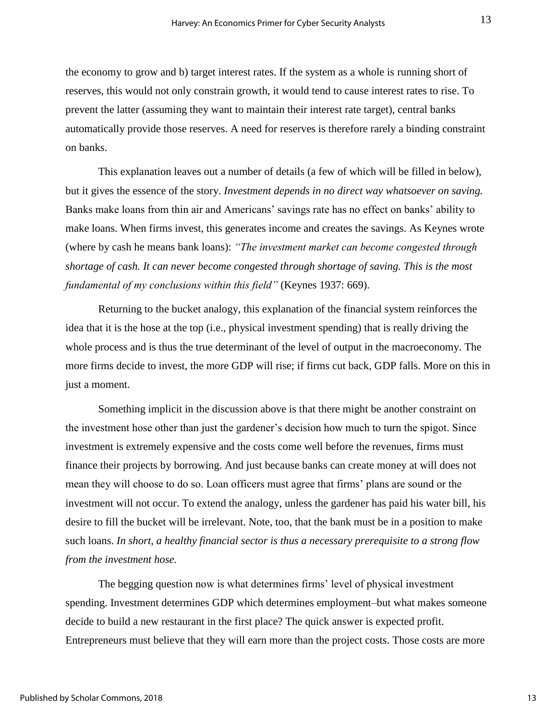the economy to grow and b) target interest rates. If the system as a whole is running short of reserves, this would not only constrain growth, it would tend to cause interest rates to rise. To prevent the latter (assuming they want to maintain their interest rate target), central banks automatically provide those reserves. A need for reserves is therefore rarely a binding constraint on banks.

This explanation leaves out a number of details (a few of which will be filled in below), but it gives the essence of the story. *Investment depends in no direct way whatsoever on saving.*  Banks make loans from thin air and Americans' savings rate has no effect on banks' ability to make loans. When firms invest, this generates income and creates the savings. As Keynes wrote (where by cash he means bank loans): *"The investment market can become congested through shortage of cash. It can never become congested through shortage of saving. This is the most fundamental of my conclusions within this field"* (Keynes 1937: 669).

Returning to the bucket analogy, this explanation of the financial system reinforces the idea that it is the hose at the top (i.e., physical investment spending) that is really driving the whole process and is thus the true determinant of the level of output in the macroeconomy. The more firms decide to invest, the more GDP will rise; if firms cut back, GDP falls. More on this in just a moment.

Something implicit in the discussion above is that there might be another constraint on the investment hose other than just the gardener's decision how much to turn the spigot. Since investment is extremely expensive and the costs come well before the revenues, firms must finance their projects by borrowing. And just because banks can create money at will does not mean they will choose to do so. Loan officers must agree that firms' plans are sound or the investment will not occur. To extend the analogy, unless the gardener has paid his water bill, his desire to fill the bucket will be irrelevant. Note, too, that the bank must be in a position to make such loans. *In short, a healthy financial sector is thus a necessary prerequisite to a strong flow from the investment hose.*

The begging question now is what determines firms' level of physical investment spending. Investment determines GDP which determines employment–but what makes someone decide to build a new restaurant in the first place? The quick answer is expected profit. Entrepreneurs must believe that they will earn more than the project costs. Those costs are more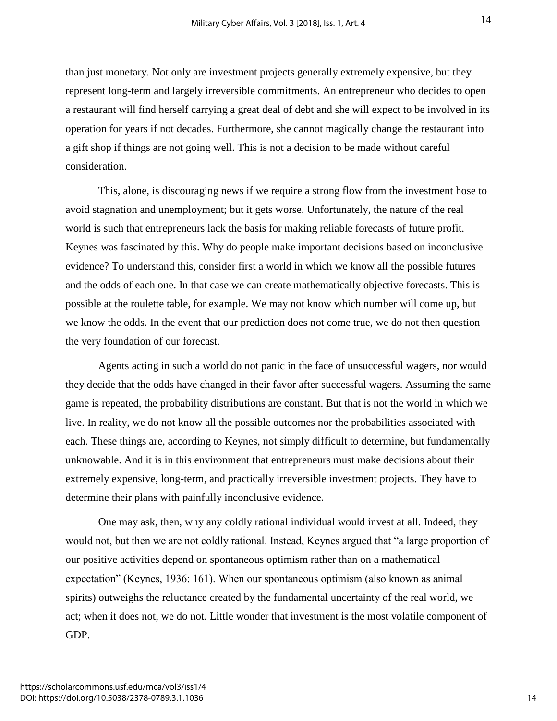than just monetary. Not only are investment projects generally extremely expensive, but they represent long-term and largely irreversible commitments. An entrepreneur who decides to open a restaurant will find herself carrying a great deal of debt and she will expect to be involved in its operation for years if not decades. Furthermore, she cannot magically change the restaurant into a gift shop if things are not going well. This is not a decision to be made without careful consideration.

This, alone, is discouraging news if we require a strong flow from the investment hose to avoid stagnation and unemployment; but it gets worse. Unfortunately, the nature of the real world is such that entrepreneurs lack the basis for making reliable forecasts of future profit. Keynes was fascinated by this. Why do people make important decisions based on inconclusive evidence? To understand this, consider first a world in which we know all the possible futures and the odds of each one. In that case we can create mathematically objective forecasts. This is possible at the roulette table, for example. We may not know which number will come up, but we know the odds. In the event that our prediction does not come true, we do not then question the very foundation of our forecast.

Agents acting in such a world do not panic in the face of unsuccessful wagers, nor would they decide that the odds have changed in their favor after successful wagers. Assuming the same game is repeated, the probability distributions are constant. But that is not the world in which we live. In reality, we do not know all the possible outcomes nor the probabilities associated with each. These things are, according to Keynes, not simply difficult to determine, but fundamentally unknowable. And it is in this environment that entrepreneurs must make decisions about their extremely expensive, long-term, and practically irreversible investment projects. They have to determine their plans with painfully inconclusive evidence.

One may ask, then, why any coldly rational individual would invest at all. Indeed, they would not, but then we are not coldly rational. Instead, Keynes argued that "a large proportion of our positive activities depend on spontaneous optimism rather than on a mathematical expectation" (Keynes, 1936: 161). When our spontaneous optimism (also known as animal spirits) outweighs the reluctance created by the fundamental uncertainty of the real world, we act; when it does not, we do not. Little wonder that investment is the most volatile component of GDP.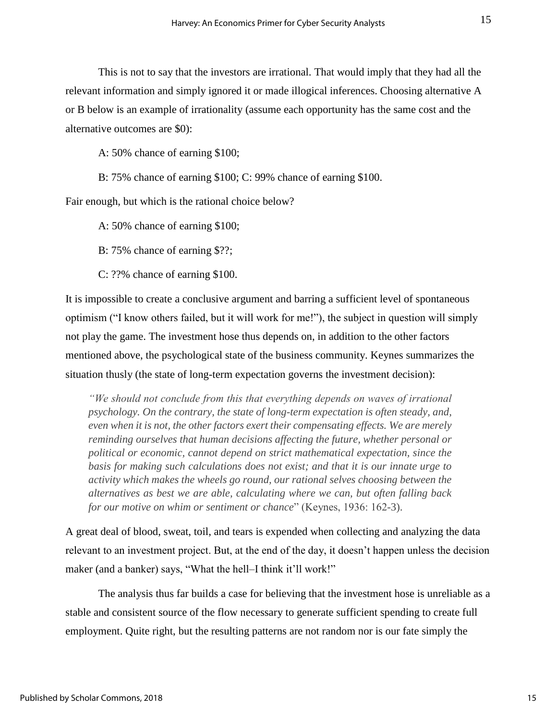This is not to say that the investors are irrational. That would imply that they had all the relevant information and simply ignored it or made illogical inferences. Choosing alternative A or B below is an example of irrationality (assume each opportunity has the same cost and the alternative outcomes are \$0):

A: 50% chance of earning \$100;

B: 75% chance of earning \$100; C: 99% chance of earning \$100.

Fair enough, but which is the rational choice below?

A: 50% chance of earning \$100;

B: 75% chance of earning \$??;

C: ??% chance of earning \$100.

It is impossible to create a conclusive argument and barring a sufficient level of spontaneous optimism ("I know others failed, but it will work for me!"), the subject in question will simply not play the game. The investment hose thus depends on, in addition to the other factors mentioned above, the psychological state of the business community. Keynes summarizes the situation thusly (the state of long-term expectation governs the investment decision):

*"We should not conclude from this that everything depends on waves of irrational psychology. On the contrary, the state of long-term expectation is often steady, and, even when it is not, the other factors exert their compensating effects. We are merely reminding ourselves that human decisions affecting the future, whether personal or political or economic, cannot depend on strict mathematical expectation, since the basis for making such calculations does not exist; and that it is our innate urge to activity which makes the wheels go round, our rational selves choosing between the alternatives as best we are able, calculating where we can, but often falling back for our motive on whim or sentiment or chance*" (Keynes, 1936: 162-3).

A great deal of blood, sweat, toil, and tears is expended when collecting and analyzing the data relevant to an investment project. But, at the end of the day, it doesn't happen unless the decision maker (and a banker) says, "What the hell-I think it'll work!"

The analysis thus far builds a case for believing that the investment hose is unreliable as a stable and consistent source of the flow necessary to generate sufficient spending to create full employment. Quite right, but the resulting patterns are not random nor is our fate simply the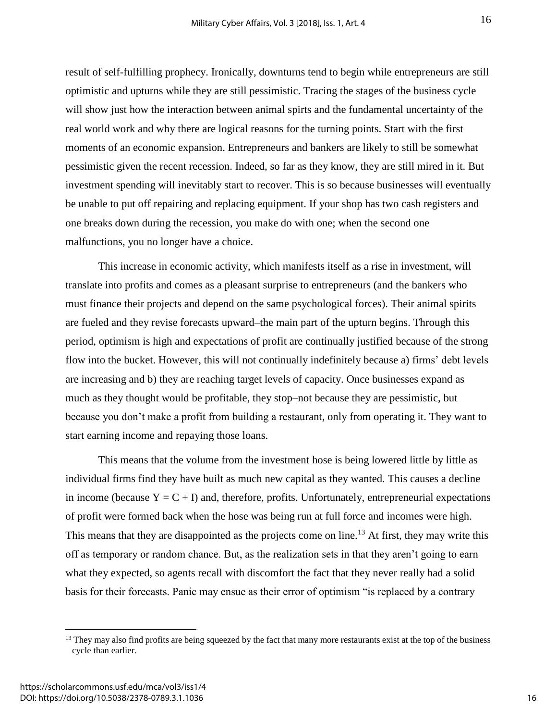result of self-fulfilling prophecy. Ironically, downturns tend to begin while entrepreneurs are still optimistic and upturns while they are still pessimistic. Tracing the stages of the business cycle will show just how the interaction between animal spirts and the fundamental uncertainty of the real world work and why there are logical reasons for the turning points. Start with the first moments of an economic expansion. Entrepreneurs and bankers are likely to still be somewhat pessimistic given the recent recession. Indeed, so far as they know, they are still mired in it. But investment spending will inevitably start to recover. This is so because businesses will eventually be unable to put off repairing and replacing equipment. If your shop has two cash registers and one breaks down during the recession, you make do with one; when the second one malfunctions, you no longer have a choice.

This increase in economic activity, which manifests itself as a rise in investment, will translate into profits and comes as a pleasant surprise to entrepreneurs (and the bankers who must finance their projects and depend on the same psychological forces). Their animal spirits are fueled and they revise forecasts upward–the main part of the upturn begins. Through this period, optimism is high and expectations of profit are continually justified because of the strong flow into the bucket. However, this will not continually indefinitely because a) firms' debt levels are increasing and b) they are reaching target levels of capacity. Once businesses expand as much as they thought would be profitable, they stop–not because they are pessimistic, but because you don't make a profit from building a restaurant, only from operating it. They want to start earning income and repaying those loans.

This means that the volume from the investment hose is being lowered little by little as individual firms find they have built as much new capital as they wanted. This causes a decline in income (because  $Y = C + I$ ) and, therefore, profits. Unfortunately, entrepreneurial expectations of profit were formed back when the hose was being run at full force and incomes were high. This means that they are disappointed as the projects come on line.<sup>13</sup> At first, they may write this off as temporary or random chance. But, as the realization sets in that they aren't going to earn what they expected, so agents recall with discomfort the fact that they never really had a solid basis for their forecasts. Panic may ensue as their error of optimism "is replaced by a contrary

<sup>&</sup>lt;sup>13</sup> They may also find profits are being squeezed by the fact that many more restaurants exist at the top of the business cycle than earlier.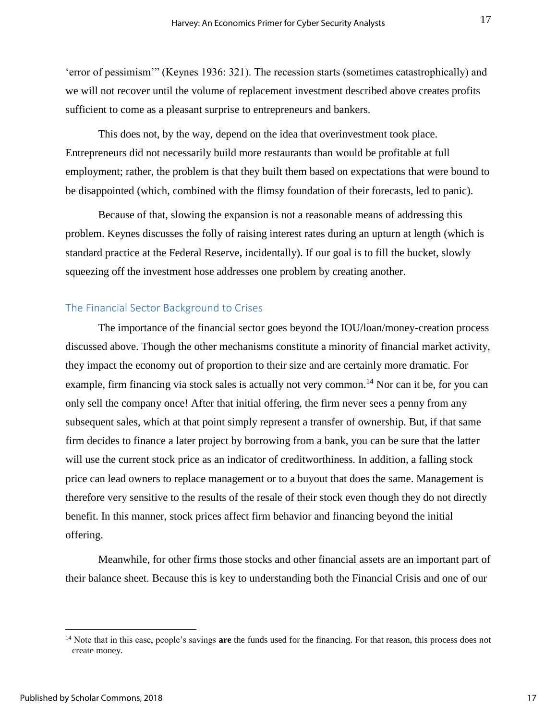'error of pessimism'" (Keynes 1936: 321). The recession starts (sometimes catastrophically) and we will not recover until the volume of replacement investment described above creates profits sufficient to come as a pleasant surprise to entrepreneurs and bankers.

This does not, by the way, depend on the idea that overinvestment took place. Entrepreneurs did not necessarily build more restaurants than would be profitable at full employment; rather, the problem is that they built them based on expectations that were bound to be disappointed (which, combined with the flimsy foundation of their forecasts, led to panic).

Because of that, slowing the expansion is not a reasonable means of addressing this problem. Keynes discusses the folly of raising interest rates during an upturn at length (which is standard practice at the Federal Reserve, incidentally). If our goal is to fill the bucket, slowly squeezing off the investment hose addresses one problem by creating another.

#### The Financial Sector Background to Crises

The importance of the financial sector goes beyond the IOU/loan/money-creation process discussed above. Though the other mechanisms constitute a minority of financial market activity, they impact the economy out of proportion to their size and are certainly more dramatic. For example, firm financing via stock sales is actually not very common.<sup>14</sup> Nor can it be, for you can only sell the company once! After that initial offering, the firm never sees a penny from any subsequent sales, which at that point simply represent a transfer of ownership. But, if that same firm decides to finance a later project by borrowing from a bank, you can be sure that the latter will use the current stock price as an indicator of creditworthiness. In addition, a falling stock price can lead owners to replace management or to a buyout that does the same. Management is therefore very sensitive to the results of the resale of their stock even though they do not directly benefit. In this manner, stock prices affect firm behavior and financing beyond the initial offering.

Meanwhile, for other firms those stocks and other financial assets are an important part of their balance sheet. Because this is key to understanding both the Financial Crisis and one of our

<sup>&</sup>lt;sup>14</sup> Note that in this case, people's savings are the funds used for the financing. For that reason, this process does not create money.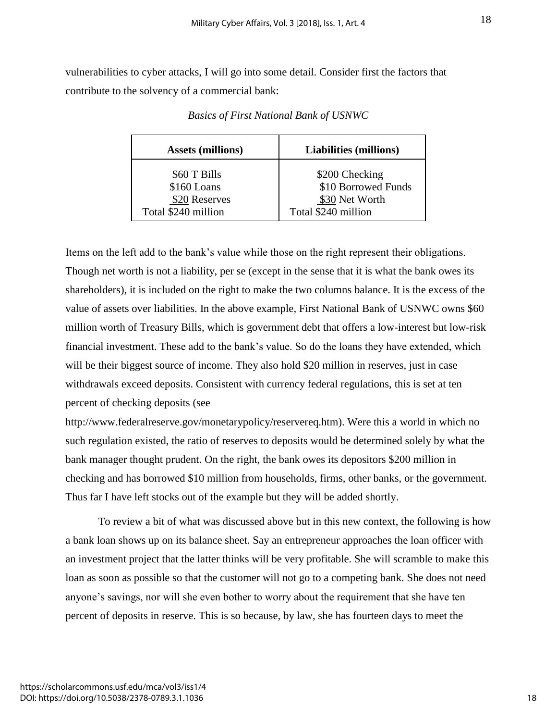vulnerabilities to cyber attacks, I will go into some detail. Consider first the factors that contribute to the solvency of a commercial bank:

| <b>Assets (millions)</b> | <b>Liabilities (millions)</b> |
|--------------------------|-------------------------------|
| \$60 T Bills             | \$200 Checking                |
| \$160 Loans              | \$10 Borrowed Funds           |
| \$20 Reserves            | \$30 Net Worth                |
| Total \$240 million      | Total \$240 million           |

*Basics of First National Bank of USNWC*

Items on the left add to the bank's value while those on the right represent their obligations. Though net worth is not a liability, per se (except in the sense that it is what the bank owes its shareholders), it is included on the right to make the two columns balance. It is the excess of the value of assets over liabilities. In the above example, First National Bank of USNWC owns \$60 million worth of Treasury Bills, which is government debt that offers a low-interest but low-risk financial investment. These add to the bank's value. So do the loans they have extended, which will be their biggest source of income. They also hold \$20 million in reserves, just in case withdrawals exceed deposits. Consistent with currency federal regulations, this is set at ten percent of checking deposits (see

http://www.federalreserve.gov/monetarypolicy/reservereq.htm). Were this a world in which no such regulation existed, the ratio of reserves to deposits would be determined solely by what the bank manager thought prudent. On the right, the bank owes its depositors \$200 million in checking and has borrowed \$10 million from households, firms, other banks, or the government. Thus far I have left stocks out of the example but they will be added shortly.

To review a bit of what was discussed above but in this new context, the following is how a bank loan shows up on its balance sheet. Say an entrepreneur approaches the loan officer with an investment project that the latter thinks will be very profitable. She will scramble to make this loan as soon as possible so that the customer will not go to a competing bank. She does not need anyone's savings, nor will she even bother to worry about the requirement that she have ten percent of deposits in reserve. This is so because, by law, she has fourteen days to meet the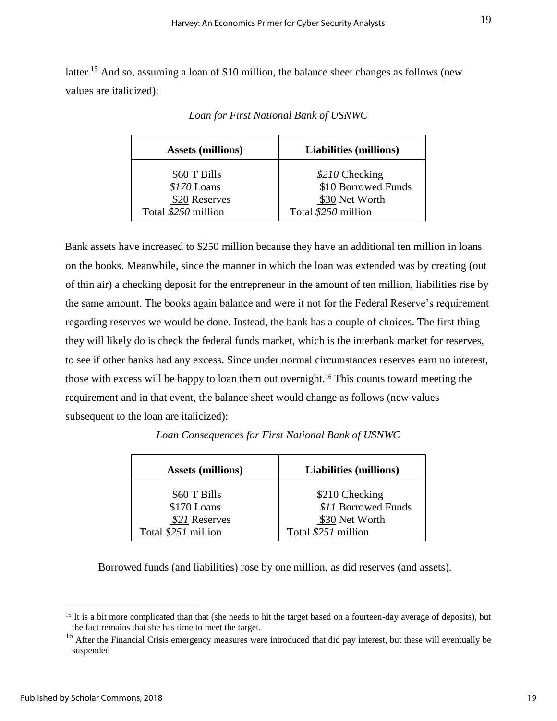latter.<sup>15</sup> And so, assuming a loan of \$10 million, the balance sheet changes as follows (new values are italicized):

| <b>Assets (millions)</b> | <b>Liabilities (millions)</b> |
|--------------------------|-------------------------------|
| \$60 T Bills             | \$210 Checking                |
| $$170$ Loans             | \$10 Borrowed Funds           |
| \$20 Reserves            | \$30 Net Worth                |
| Total \$250 million      | Total \$250 million           |

*Loan for First National Bank of USNWC*

Bank assets have increased to \$250 million because they have an additional ten million in loans on the books. Meanwhile, since the manner in which the loan was extended was by creating (out of thin air) a checking deposit for the entrepreneur in the amount of ten million, liabilities rise by the same amount. The books again balance and were it not for the Federal Reserve's requirement regarding reserves we would be done. Instead, the bank has a couple of choices. The first thing they will likely do is check the federal funds market, which is the interbank market for reserves, to see if other banks had any excess. Since under normal circumstances reserves earn no interest, those with excess will be happy to loan them out overnight.<sup>16</sup> This counts toward meeting the requirement and in that event, the balance sheet would change as follows (new values subsequent to the loan are italicized):

| <b>Assets (millions)</b>                     | <b>Liabilities (millions)</b>                           |
|----------------------------------------------|---------------------------------------------------------|
| \$60 T Bills<br>\$170 Loans<br>\$21 Reserves | \$210 Checking<br>\$11 Borrowed Funds<br>\$30 Net Worth |
| Total \$251 million                          | Total \$251 million                                     |

*Loan Consequences for First National Bank of USNWC*

Borrowed funds (and liabilities) rose by one million, as did reserves (and assets).

 $\overline{a}$ 

19

 $15$  It is a bit more complicated than that (she needs to hit the target based on a fourteen-day average of deposits), but the fact remains that she has time to meet the target.

<sup>&</sup>lt;sup>16</sup> After the Financial Crisis emergency measures were introduced that did pay interest, but these will eventually be suspended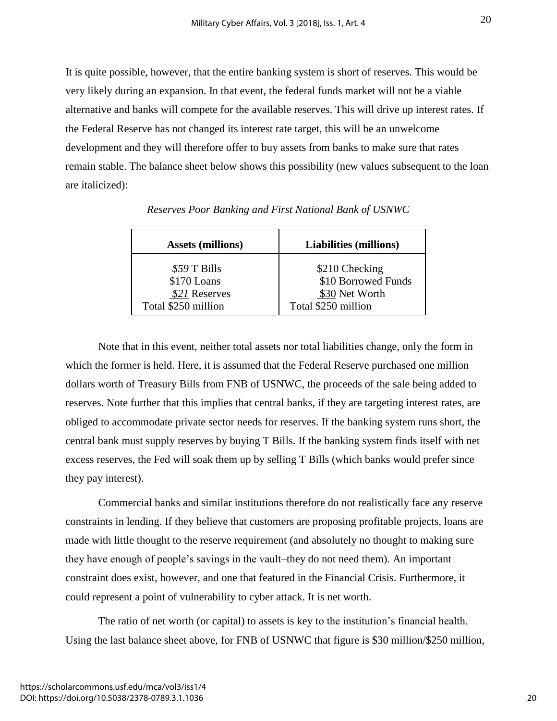It is quite possible, however, that the entire banking system is short of reserves. This would be very likely during an expansion. In that event, the federal funds market will not be a viable alternative and banks will compete for the available reserves. This will drive up interest rates. If the Federal Reserve has not changed its interest rate target, this will be an unwelcome development and they will therefore offer to buy assets from banks to make sure that rates remain stable. The balance sheet below shows this possibility (new values subsequent to the loan are italicized):

| <b>Assets (millions)</b> | <b>Liabilities (millions)</b> |
|--------------------------|-------------------------------|
| \$59 T Bills             | \$210 Checking                |
| \$170 Loans              | \$10 Borrowed Funds           |
| \$21 Reserves            | \$30 Net Worth                |
| Total \$250 million      | Total \$250 million           |

*Reserves Poor Banking and First National Bank of USNWC*

Note that in this event, neither total assets nor total liabilities change, only the form in which the former is held. Here, it is assumed that the Federal Reserve purchased one million dollars worth of Treasury Bills from FNB of USNWC, the proceeds of the sale being added to reserves. Note further that this implies that central banks, if they are targeting interest rates, are obliged to accommodate private sector needs for reserves. If the banking system runs short, the central bank must supply reserves by buying T Bills. If the banking system finds itself with net excess reserves, the Fed will soak them up by selling T Bills (which banks would prefer since they pay interest).

Commercial banks and similar institutions therefore do not realistically face any reserve constraints in lending. If they believe that customers are proposing profitable projects, loans are made with little thought to the reserve requirement (and absolutely no thought to making sure they have enough of people's savings in the vault–they do not need them). An important constraint does exist, however, and one that featured in the Financial Crisis. Furthermore, it could represent a point of vulnerability to cyber attack. It is net worth.

The ratio of net worth (or capital) to assets is key to the institution's financial health. Using the last balance sheet above, for FNB of USNWC that figure is \$30 million/\$250 million,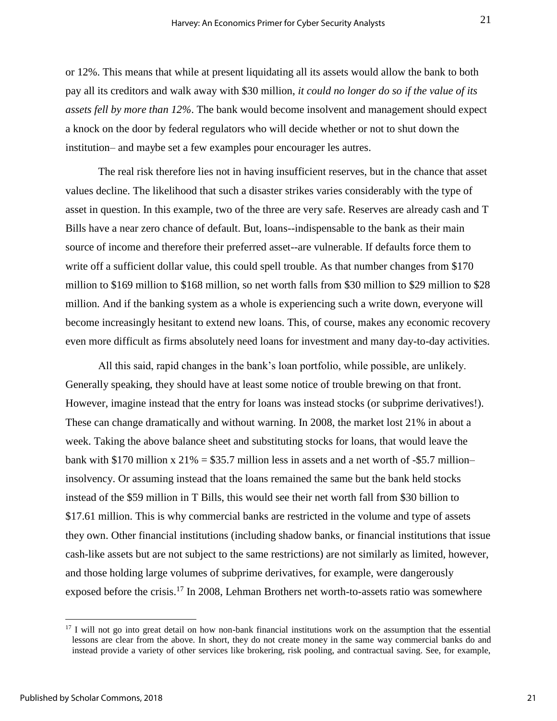or 12%. This means that while at present liquidating all its assets would allow the bank to both pay all its creditors and walk away with \$30 million, *it could no longer do so if the value of its assets fell by more than 12%*. The bank would become insolvent and management should expect a knock on the door by federal regulators who will decide whether or not to shut down the institution– and maybe set a few examples pour encourager les autres.

The real risk therefore lies not in having insufficient reserves, but in the chance that asset values decline. The likelihood that such a disaster strikes varies considerably with the type of asset in question. In this example, two of the three are very safe. Reserves are already cash and T Bills have a near zero chance of default. But, loans--indispensable to the bank as their main source of income and therefore their preferred asset--are vulnerable. If defaults force them to write off a sufficient dollar value, this could spell trouble. As that number changes from \$170 million to \$169 million to \$168 million, so net worth falls from \$30 million to \$29 million to \$28 million. And if the banking system as a whole is experiencing such a write down, everyone will become increasingly hesitant to extend new loans. This, of course, makes any economic recovery even more difficult as firms absolutely need loans for investment and many day-to-day activities.

All this said, rapid changes in the bank's loan portfolio, while possible, are unlikely. Generally speaking, they should have at least some notice of trouble brewing on that front. However, imagine instead that the entry for loans was instead stocks (or subprime derivatives!). These can change dramatically and without warning. In 2008, the market lost 21% in about a week. Taking the above balance sheet and substituting stocks for loans, that would leave the bank with \$170 million x  $21\% = $35.7$  million less in assets and a net worth of -\$5.7 million– insolvency. Or assuming instead that the loans remained the same but the bank held stocks instead of the \$59 million in T Bills, this would see their net worth fall from \$30 billion to \$17.61 million. This is why commercial banks are restricted in the volume and type of assets they own. Other financial institutions (including shadow banks, or financial institutions that issue cash-like assets but are not subject to the same restrictions) are not similarly as limited, however, and those holding large volumes of subprime derivatives, for example, were dangerously exposed before the crisis.<sup>17</sup> In 2008, Lehman Brothers net worth-to-assets ratio was somewhere

<sup>&</sup>lt;sup>17</sup> I will not go into great detail on how non-bank financial institutions work on the assumption that the essential lessons are clear from the above. In short, they do not create money in the same way commercial banks do and instead provide a variety of other services like brokering, risk pooling, and contractual saving. See, for example,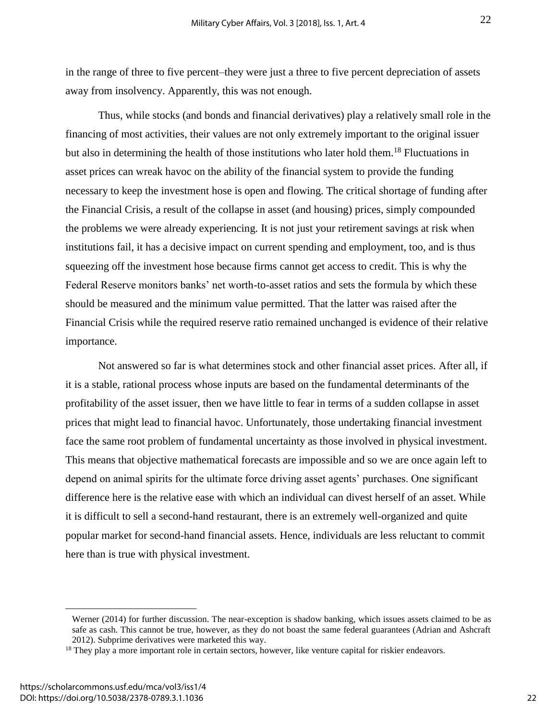22

in the range of three to five percent–they were just a three to five percent depreciation of assets away from insolvency. Apparently, this was not enough.

Thus, while stocks (and bonds and financial derivatives) play a relatively small role in the financing of most activities, their values are not only extremely important to the original issuer but also in determining the health of those institutions who later hold them.<sup>18</sup> Fluctuations in asset prices can wreak havoc on the ability of the financial system to provide the funding necessary to keep the investment hose is open and flowing. The critical shortage of funding after the Financial Crisis, a result of the collapse in asset (and housing) prices, simply compounded the problems we were already experiencing. It is not just your retirement savings at risk when institutions fail, it has a decisive impact on current spending and employment, too, and is thus squeezing off the investment hose because firms cannot get access to credit. This is why the Federal Reserve monitors banks' net worth-to-asset ratios and sets the formula by which these should be measured and the minimum value permitted. That the latter was raised after the Financial Crisis while the required reserve ratio remained unchanged is evidence of their relative importance.

Not answered so far is what determines stock and other financial asset prices. After all, if it is a stable, rational process whose inputs are based on the fundamental determinants of the profitability of the asset issuer, then we have little to fear in terms of a sudden collapse in asset prices that might lead to financial havoc. Unfortunately, those undertaking financial investment face the same root problem of fundamental uncertainty as those involved in physical investment. This means that objective mathematical forecasts are impossible and so we are once again left to depend on animal spirits for the ultimate force driving asset agents' purchases. One significant difference here is the relative ease with which an individual can divest herself of an asset. While it is difficult to sell a second-hand restaurant, there is an extremely well-organized and quite popular market for second-hand financial assets. Hence, individuals are less reluctant to commit here than is true with physical investment.

Werner (2014) for further discussion. The near-exception is shadow banking, which issues assets claimed to be as safe as cash. This cannot be true, however, as they do not boast the same federal guarantees (Adrian and Ashcraft 2012). Subprime derivatives were marketed this way.

<sup>&</sup>lt;sup>18</sup> They play a more important role in certain sectors, however, like venture capital for riskier endeavors.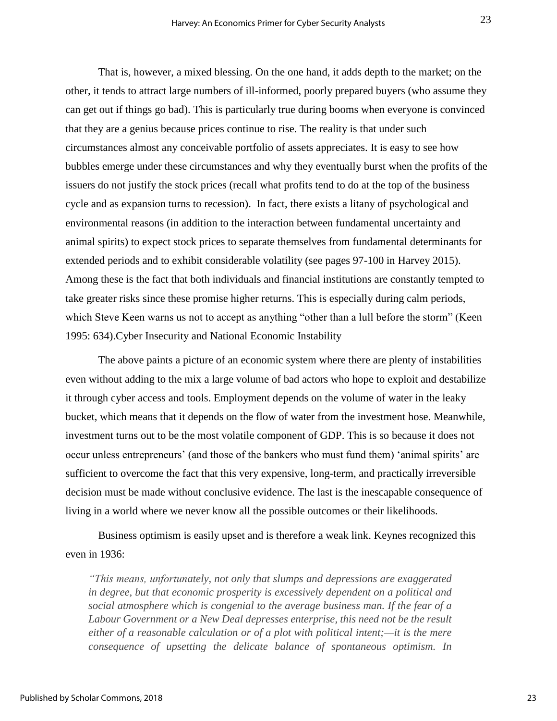That is, however, a mixed blessing. On the one hand, it adds depth to the market; on the other, it tends to attract large numbers of ill-informed, poorly prepared buyers (who assume they can get out if things go bad). This is particularly true during booms when everyone is convinced that they are a genius because prices continue to rise. The reality is that under such circumstances almost any conceivable portfolio of assets appreciates. It is easy to see how bubbles emerge under these circumstances and why they eventually burst when the profits of the issuers do not justify the stock prices (recall what profits tend to do at the top of the business cycle and as expansion turns to recession). In fact, there exists a litany of psychological and environmental reasons (in addition to the interaction between fundamental uncertainty and animal spirits) to expect stock prices to separate themselves from fundamental determinants for extended periods and to exhibit considerable volatility (see pages 97-100 in Harvey 2015). Among these is the fact that both individuals and financial institutions are constantly tempted to take greater risks since these promise higher returns. This is especially during calm periods, which Steve Keen warns us not to accept as anything "other than a lull before the storm" (Keen 1995: 634).Cyber Insecurity and National Economic Instability

The above paints a picture of an economic system where there are plenty of instabilities even without adding to the mix a large volume of bad actors who hope to exploit and destabilize it through cyber access and tools. Employment depends on the volume of water in the leaky bucket, which means that it depends on the flow of water from the investment hose. Meanwhile, investment turns out to be the most volatile component of GDP. This is so because it does not occur unless entrepreneurs' (and those of the bankers who must fund them) 'animal spirits' are sufficient to overcome the fact that this very expensive, long-term, and practically irreversible decision must be made without conclusive evidence. The last is the inescapable consequence of living in a world where we never know all the possible outcomes or their likelihoods.

Business optimism is easily upset and is therefore a weak link. Keynes recognized this even in 1936:

*"This means, unfortunately, not only that slumps and depressions are exaggerated in degree, but that economic prosperity is excessively dependent on a political and social atmosphere which is congenial to the average business man. If the fear of a Labour Government or a New Deal depresses enterprise, this need not be the result either of a reasonable calculation or of a plot with political intent;—it is the mere consequence of upsetting the delicate balance of spontaneous optimism. In* 

23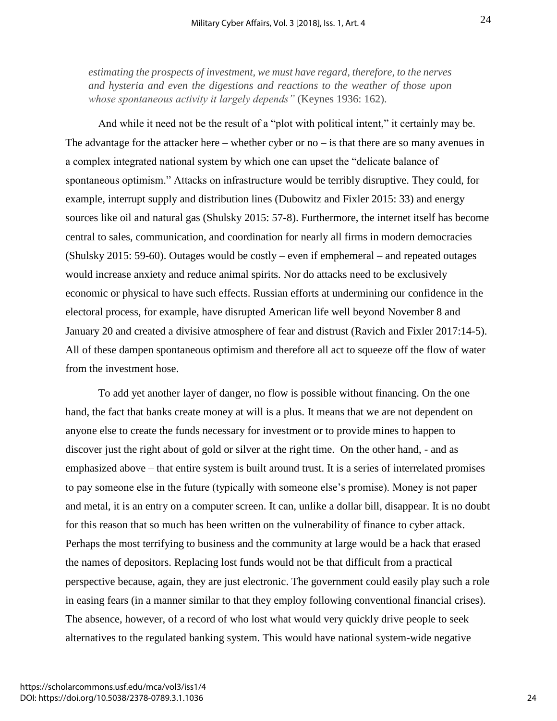*estimating the prospects of investment, we must have regard, therefore, to the nerves and hysteria and even the digestions and reactions to the weather of those upon whose spontaneous activity it largely depends"* (Keynes 1936: 162).

And while it need not be the result of a "plot with political intent," it certainly may be. The advantage for the attacker here – whether cyber or  $no - is$  that there are so many avenues in a complex integrated national system by which one can upset the "delicate balance of spontaneous optimism." Attacks on infrastructure would be terribly disruptive. They could, for example, interrupt supply and distribution lines (Dubowitz and Fixler 2015: 33) and energy sources like oil and natural gas (Shulsky 2015: 57-8). Furthermore, the internet itself has become central to sales, communication, and coordination for nearly all firms in modern democracies (Shulsky 2015: 59-60). Outages would be costly – even if emphemeral – and repeated outages would increase anxiety and reduce animal spirits. Nor do attacks need to be exclusively economic or physical to have such effects. Russian efforts at undermining our confidence in the electoral process, for example, have disrupted American life well beyond November 8 and January 20 and created a divisive atmosphere of fear and distrust (Ravich and Fixler 2017:14-5). All of these dampen spontaneous optimism and therefore all act to squeeze off the flow of water from the investment hose.

To add yet another layer of danger, no flow is possible without financing. On the one hand, the fact that banks create money at will is a plus. It means that we are not dependent on anyone else to create the funds necessary for investment or to provide mines to happen to discover just the right about of gold or silver at the right time. On the other hand, - and as emphasized above – that entire system is built around trust. It is a series of interrelated promises to pay someone else in the future (typically with someone else's promise). Money is not paper and metal, it is an entry on a computer screen. It can, unlike a dollar bill, disappear. It is no doubt for this reason that so much has been written on the vulnerability of finance to cyber attack. Perhaps the most terrifying to business and the community at large would be a hack that erased the names of depositors. Replacing lost funds would not be that difficult from a practical perspective because, again, they are just electronic. The government could easily play such a role in easing fears (in a manner similar to that they employ following conventional financial crises). The absence, however, of a record of who lost what would very quickly drive people to seek alternatives to the regulated banking system. This would have national system-wide negative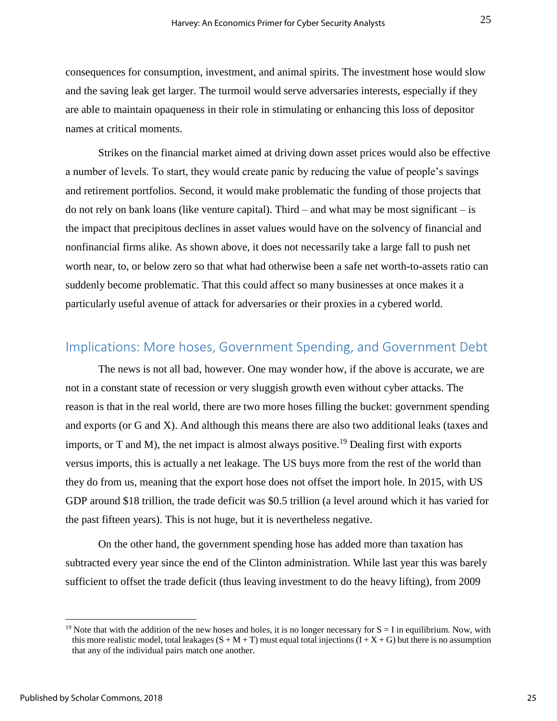consequences for consumption, investment, and animal spirits. The investment hose would slow and the saving leak get larger. The turmoil would serve adversaries interests, especially if they are able to maintain opaqueness in their role in stimulating or enhancing this loss of depositor names at critical moments.

Strikes on the financial market aimed at driving down asset prices would also be effective a number of levels. To start, they would create panic by reducing the value of people's savings and retirement portfolios. Second, it would make problematic the funding of those projects that do not rely on bank loans (like venture capital). Third – and what may be most significant – is the impact that precipitous declines in asset values would have on the solvency of financial and nonfinancial firms alike. As shown above, it does not necessarily take a large fall to push net worth near, to, or below zero so that what had otherwise been a safe net worth-to-assets ratio can suddenly become problematic. That this could affect so many businesses at once makes it a particularly useful avenue of attack for adversaries or their proxies in a cybered world.

## Implications: More hoses, Government Spending, and Government Debt

The news is not all bad, however. One may wonder how, if the above is accurate, we are not in a constant state of recession or very sluggish growth even without cyber attacks. The reason is that in the real world, there are two more hoses filling the bucket: government spending and exports (or G and X). And although this means there are also two additional leaks (taxes and imports, or T and M), the net impact is almost always positive.<sup>19</sup> Dealing first with exports versus imports, this is actually a net leakage. The US buys more from the rest of the world than they do from us, meaning that the export hose does not offset the import hole. In 2015, with US GDP around \$18 trillion, the trade deficit was \$0.5 trillion (a level around which it has varied for the past fifteen years). This is not huge, but it is nevertheless negative.

On the other hand, the government spending hose has added more than taxation has subtracted every year since the end of the Clinton administration. While last year this was barely sufficient to offset the trade deficit (thus leaving investment to do the heavy lifting), from 2009

<sup>&</sup>lt;sup>19</sup> Note that with the addition of the new hoses and holes, it is no longer necessary for  $S = I$  in equilibrium. Now, with this more realistic model, total leakages  $(S + M + T)$  must equal total injections  $(I + X + G)$  but there is no assumption that any of the individual pairs match one another.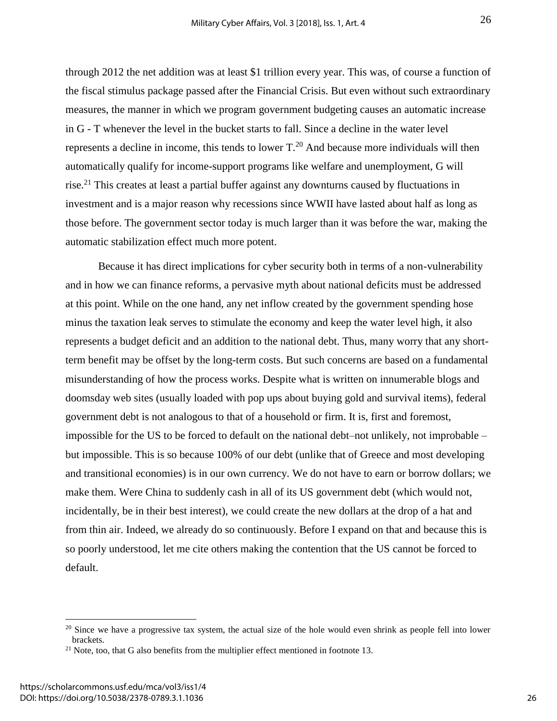through 2012 the net addition was at least \$1 trillion every year. This was, of course a function of the fiscal stimulus package passed after the Financial Crisis. But even without such extraordinary measures, the manner in which we program government budgeting causes an automatic increase in G - T whenever the level in the bucket starts to fall. Since a decline in the water level represents a decline in income, this tends to lower  $T<sup>20</sup>$  And because more individuals will then automatically qualify for income-support programs like welfare and unemployment, G will rise.<sup>21</sup> This creates at least a partial buffer against any downturns caused by fluctuations in investment and is a major reason why recessions since WWII have lasted about half as long as those before. The government sector today is much larger than it was before the war, making the automatic stabilization effect much more potent.

Because it has direct implications for cyber security both in terms of a non-vulnerability and in how we can finance reforms, a pervasive myth about national deficits must be addressed at this point. While on the one hand, any net inflow created by the government spending hose minus the taxation leak serves to stimulate the economy and keep the water level high, it also represents a budget deficit and an addition to the national debt. Thus, many worry that any shortterm benefit may be offset by the long-term costs. But such concerns are based on a fundamental misunderstanding of how the process works. Despite what is written on innumerable blogs and doomsday web sites (usually loaded with pop ups about buying gold and survival items), federal government debt is not analogous to that of a household or firm. It is, first and foremost, impossible for the US to be forced to default on the national debt–not unlikely, not improbable – but impossible. This is so because 100% of our debt (unlike that of Greece and most developing and transitional economies) is in our own currency. We do not have to earn or borrow dollars; we make them. Were China to suddenly cash in all of its US government debt (which would not, incidentally, be in their best interest), we could create the new dollars at the drop of a hat and from thin air. Indeed, we already do so continuously. Before I expand on that and because this is so poorly understood, let me cite others making the contention that the US cannot be forced to default.

 $20$  Since we have a progressive tax system, the actual size of the hole would even shrink as people fell into lower brackets.

 $21$  Note, too, that G also benefits from the multiplier effect mentioned in footnote 13.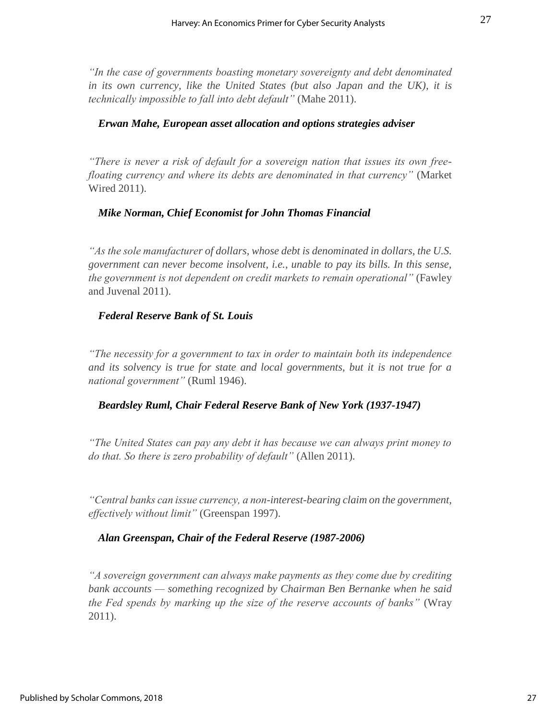*"In the case of governments boasting monetary sovereignty and debt denominated in its own currency, like the United States (but also Japan and the UK), it is technically impossible to fall into debt default"* (Mahe 2011).

#### *Erwan Mahe, European asset allocation and options strategies adviser*

*"There is never a risk of default for a sovereign nation that issues its own freefloating currency and where its debts are denominated in that currency"* (Market Wired 2011).

#### *Mike Norman, Chief Economist for John Thomas Financial*

*"As the sole manufacturer of dollars, whose debt is denominated in dollars, the U.S. government can never become insolvent, i.e., unable to pay its bills. In this sense, the government is not dependent on credit markets to remain operational"* (Fawley and Juvenal 2011).

#### *Federal Reserve Bank of St. Louis*

*"The necessity for a government to tax in order to maintain both its independence and its solvency is true for state and local governments, but it is not true for a national government"* (Ruml 1946).

#### *Beardsley Ruml, Chair Federal Reserve Bank of New York (1937-1947)*

*"The United States can pay any debt it has because we can always print money to do that. So there is zero probability of default"* (Allen 2011).

*"Central banks can issue currency, a non-interest-bearing claim on the government, effectively without limit"* (Greenspan 1997).

#### *Alan Greenspan, Chair of the Federal Reserve (1987-2006)*

*"A sovereign government can always make payments as they come due by crediting bank accounts — something recognized by Chairman Ben Bernanke when he said the Fed spends by marking up the size of the reserve accounts of banks"* (Wray 2011).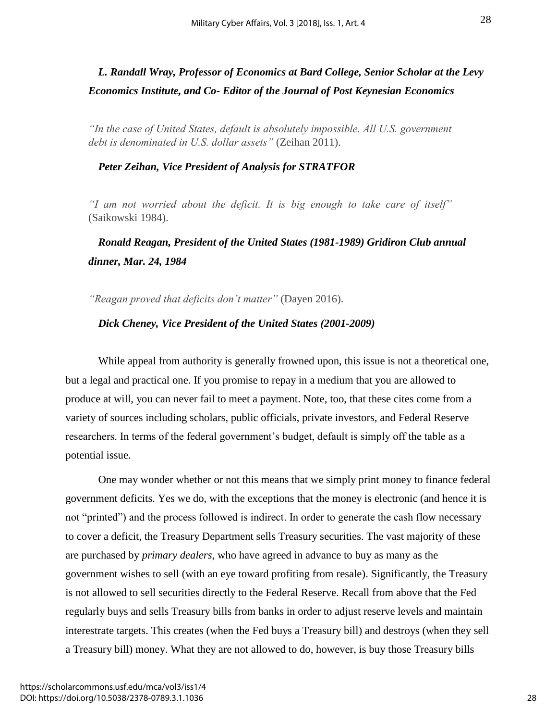## *L. Randall Wray, Professor of Economics at Bard College, Senior Scholar at the Levy Economics Institute, and Co- Editor of the Journal of Post Keynesian Economics*

*"In the case of United States, default is absolutely impossible. All U.S. government debt is denominated in U.S. dollar assets"* (Zeihan 2011).

#### *Peter Zeihan, Vice President of Analysis for STRATFOR*

*"I am not worried about the deficit. It is big enough to take care of itself"*  (Saikowski 1984).

## *Ronald Reagan, President of the United States (1981-1989) Gridiron Club annual dinner, Mar. 24, 1984*

*"Reagan proved that deficits don't matter"* (Dayen 2016).

#### *Dick Cheney, Vice President of the United States (2001-2009)*

While appeal from authority is generally frowned upon, this issue is not a theoretical one, but a legal and practical one. If you promise to repay in a medium that you are allowed to produce at will, you can never fail to meet a payment. Note, too, that these cites come from a variety of sources including scholars, public officials, private investors, and Federal Reserve researchers. In terms of the federal government's budget, default is simply off the table as a potential issue.

One may wonder whether or not this means that we simply print money to finance federal government deficits. Yes we do, with the exceptions that the money is electronic (and hence it is not "printed") and the process followed is indirect. In order to generate the cash flow necessary to cover a deficit, the Treasury Department sells Treasury securities. The vast majority of these are purchased by *primary dealers*, who have agreed in advance to buy as many as the government wishes to sell (with an eye toward profiting from resale). Significantly, the Treasury is not allowed to sell securities directly to the Federal Reserve. Recall from above that the Fed regularly buys and sells Treasury bills from banks in order to adjust reserve levels and maintain interestrate targets. This creates (when the Fed buys a Treasury bill) and destroys (when they sell a Treasury bill) money. What they are not allowed to do, however, is buy those Treasury bills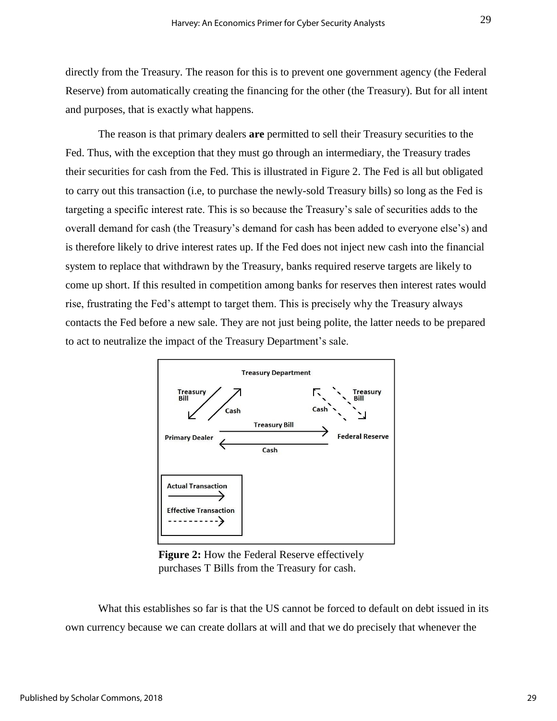directly from the Treasury. The reason for this is to prevent one government agency (the Federal Reserve) from automatically creating the financing for the other (the Treasury). But for all intent and purposes, that is exactly what happens.

The reason is that primary dealers **are** permitted to sell their Treasury securities to the Fed. Thus, with the exception that they must go through an intermediary, the Treasury trades their securities for cash from the Fed. This is illustrated in Figure 2. The Fed is all but obligated to carry out this transaction (i.e, to purchase the newly-sold Treasury bills) so long as the Fed is targeting a specific interest rate. This is so because the Treasury's sale of securities adds to the overall demand for cash (the Treasury's demand for cash has been added to everyone else's) and is therefore likely to drive interest rates up. If the Fed does not inject new cash into the financial system to replace that withdrawn by the Treasury, banks required reserve targets are likely to come up short. If this resulted in competition among banks for reserves then interest rates would rise, frustrating the Fed's attempt to target them. This is precisely why the Treasury always contacts the Fed before a new sale. They are not just being polite, the latter needs to be prepared to act to neutralize the impact of the Treasury Department's sale.



**Figure 2:** How the Federal Reserve effectively purchases T Bills from the Treasury for cash.

What this establishes so far is that the US cannot be forced to default on debt issued in its own currency because we can create dollars at will and that we do precisely that whenever the

29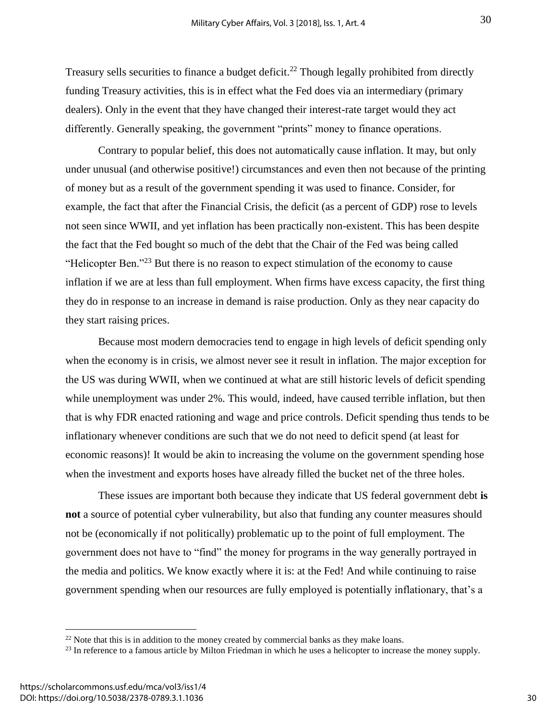Treasury sells securities to finance a budget deficit.<sup>22</sup> Though legally prohibited from directly funding Treasury activities, this is in effect what the Fed does via an intermediary (primary dealers). Only in the event that they have changed their interest-rate target would they act differently. Generally speaking, the government "prints" money to finance operations.

Contrary to popular belief, this does not automatically cause inflation. It may, but only under unusual (and otherwise positive!) circumstances and even then not because of the printing of money but as a result of the government spending it was used to finance. Consider, for example, the fact that after the Financial Crisis, the deficit (as a percent of GDP) rose to levels not seen since WWII, and yet inflation has been practically non-existent. This has been despite the fact that the Fed bought so much of the debt that the Chair of the Fed was being called "Helicopter Ben."<sup>23</sup> But there is no reason to expect stimulation of the economy to cause inflation if we are at less than full employment. When firms have excess capacity, the first thing they do in response to an increase in demand is raise production. Only as they near capacity do they start raising prices.

Because most modern democracies tend to engage in high levels of deficit spending only when the economy is in crisis, we almost never see it result in inflation. The major exception for the US was during WWII, when we continued at what are still historic levels of deficit spending while unemployment was under 2%. This would, indeed, have caused terrible inflation, but then that is why FDR enacted rationing and wage and price controls. Deficit spending thus tends to be inflationary whenever conditions are such that we do not need to deficit spend (at least for economic reasons)! It would be akin to increasing the volume on the government spending hose when the investment and exports hoses have already filled the bucket net of the three holes.

These issues are important both because they indicate that US federal government debt **is not** a source of potential cyber vulnerability, but also that funding any counter measures should not be (economically if not politically) problematic up to the point of full employment. The government does not have to "find" the money for programs in the way generally portrayed in the media and politics. We know exactly where it is: at the Fed! And while continuing to raise government spending when our resources are fully employed is potentially inflationary, that's a

 $22$  Note that this is in addition to the money created by commercial banks as they make loans.

<sup>&</sup>lt;sup>23</sup> In reference to a famous article by Milton Friedman in which he uses a helicopter to increase the money supply.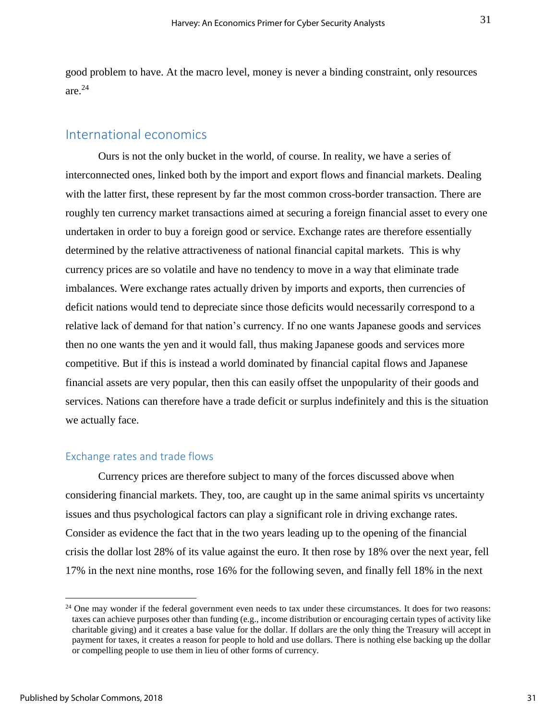good problem to have. At the macro level, money is never a binding constraint, only resources are.<sup>24</sup>

## International economics

Ours is not the only bucket in the world, of course. In reality, we have a series of interconnected ones, linked both by the import and export flows and financial markets. Dealing with the latter first, these represent by far the most common cross-border transaction. There are roughly ten currency market transactions aimed at securing a foreign financial asset to every one undertaken in order to buy a foreign good or service. Exchange rates are therefore essentially determined by the relative attractiveness of national financial capital markets. This is why currency prices are so volatile and have no tendency to move in a way that eliminate trade imbalances. Were exchange rates actually driven by imports and exports, then currencies of deficit nations would tend to depreciate since those deficits would necessarily correspond to a relative lack of demand for that nation's currency. If no one wants Japanese goods and services then no one wants the yen and it would fall, thus making Japanese goods and services more competitive. But if this is instead a world dominated by financial capital flows and Japanese financial assets are very popular, then this can easily offset the unpopularity of their goods and services. Nations can therefore have a trade deficit or surplus indefinitely and this is the situation we actually face.

#### Exchange rates and trade flows

Currency prices are therefore subject to many of the forces discussed above when considering financial markets. They, too, are caught up in the same animal spirits vs uncertainty issues and thus psychological factors can play a significant role in driving exchange rates. Consider as evidence the fact that in the two years leading up to the opening of the financial crisis the dollar lost 28% of its value against the euro. It then rose by 18% over the next year, fell 17% in the next nine months, rose 16% for the following seven, and finally fell 18% in the next

<sup>&</sup>lt;sup>24</sup> One may wonder if the federal government even needs to tax under these circumstances. It does for two reasons: taxes can achieve purposes other than funding (e.g., income distribution or encouraging certain types of activity like charitable giving) and it creates a base value for the dollar. If dollars are the only thing the Treasury will accept in payment for taxes, it creates a reason for people to hold and use dollars. There is nothing else backing up the dollar or compelling people to use them in lieu of other forms of currency.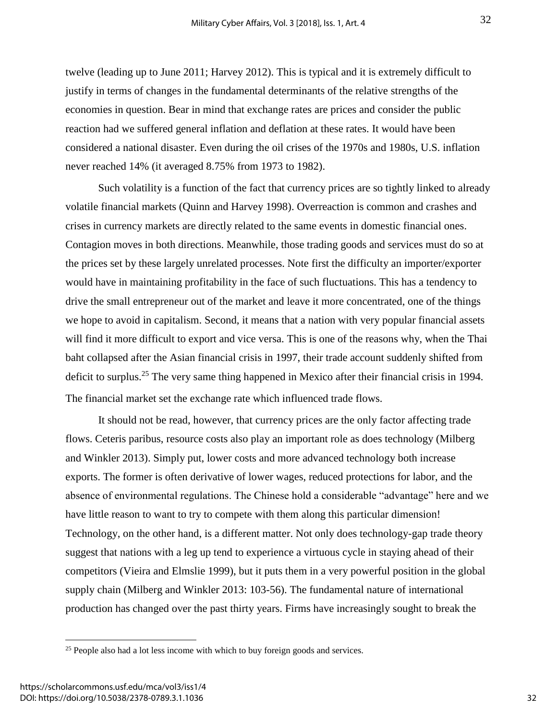twelve (leading up to June 2011; Harvey 2012). This is typical and it is extremely difficult to justify in terms of changes in the fundamental determinants of the relative strengths of the economies in question. Bear in mind that exchange rates are prices and consider the public reaction had we suffered general inflation and deflation at these rates. It would have been considered a national disaster. Even during the oil crises of the 1970s and 1980s, U.S. inflation never reached 14% (it averaged 8.75% from 1973 to 1982).

Such volatility is a function of the fact that currency prices are so tightly linked to already volatile financial markets (Quinn and Harvey 1998). Overreaction is common and crashes and crises in currency markets are directly related to the same events in domestic financial ones. Contagion moves in both directions. Meanwhile, those trading goods and services must do so at the prices set by these largely unrelated processes. Note first the difficulty an importer/exporter would have in maintaining profitability in the face of such fluctuations. This has a tendency to drive the small entrepreneur out of the market and leave it more concentrated, one of the things we hope to avoid in capitalism. Second, it means that a nation with very popular financial assets will find it more difficult to export and vice versa. This is one of the reasons why, when the Thai baht collapsed after the Asian financial crisis in 1997, their trade account suddenly shifted from deficit to surplus.<sup>25</sup> The very same thing happened in Mexico after their financial crisis in 1994. The financial market set the exchange rate which influenced trade flows.

It should not be read, however, that currency prices are the only factor affecting trade flows. Ceteris paribus, resource costs also play an important role as does technology (Milberg and Winkler 2013). Simply put, lower costs and more advanced technology both increase exports. The former is often derivative of lower wages, reduced protections for labor, and the absence of environmental regulations. The Chinese hold a considerable "advantage" here and we have little reason to want to try to compete with them along this particular dimension! Technology, on the other hand, is a different matter. Not only does technology-gap trade theory suggest that nations with a leg up tend to experience a virtuous cycle in staying ahead of their competitors (Vieira and Elmslie 1999), but it puts them in a very powerful position in the global supply chain (Milberg and Winkler 2013: 103-56). The fundamental nature of international production has changed over the past thirty years. Firms have increasingly sought to break the

<sup>&</sup>lt;sup>25</sup> People also had a lot less income with which to buy foreign goods and services.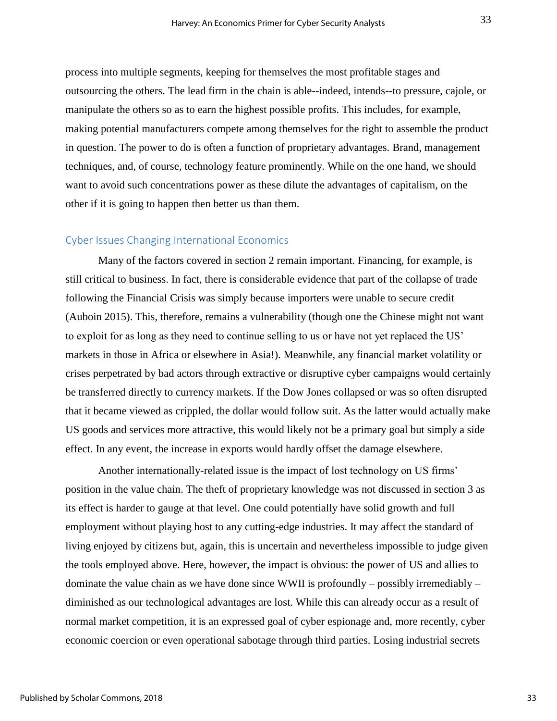process into multiple segments, keeping for themselves the most profitable stages and outsourcing the others. The lead firm in the chain is able--indeed, intends--to pressure, cajole, or manipulate the others so as to earn the highest possible profits. This includes, for example, making potential manufacturers compete among themselves for the right to assemble the product in question. The power to do is often a function of proprietary advantages. Brand, management techniques, and, of course, technology feature prominently. While on the one hand, we should want to avoid such concentrations power as these dilute the advantages of capitalism, on the other if it is going to happen then better us than them.

#### Cyber Issues Changing International Economics

Many of the factors covered in section 2 remain important. Financing, for example, is still critical to business. In fact, there is considerable evidence that part of the collapse of trade following the Financial Crisis was simply because importers were unable to secure credit (Auboin 2015). This, therefore, remains a vulnerability (though one the Chinese might not want to exploit for as long as they need to continue selling to us or have not yet replaced the US' markets in those in Africa or elsewhere in Asia!). Meanwhile, any financial market volatility or crises perpetrated by bad actors through extractive or disruptive cyber campaigns would certainly be transferred directly to currency markets. If the Dow Jones collapsed or was so often disrupted that it became viewed as crippled, the dollar would follow suit. As the latter would actually make US goods and services more attractive, this would likely not be a primary goal but simply a side effect. In any event, the increase in exports would hardly offset the damage elsewhere.

Another internationally-related issue is the impact of lost technology on US firms' position in the value chain. The theft of proprietary knowledge was not discussed in section 3 as its effect is harder to gauge at that level. One could potentially have solid growth and full employment without playing host to any cutting-edge industries. It may affect the standard of living enjoyed by citizens but, again, this is uncertain and nevertheless impossible to judge given the tools employed above. Here, however, the impact is obvious: the power of US and allies to dominate the value chain as we have done since WWII is profoundly – possibly irremediably – diminished as our technological advantages are lost. While this can already occur as a result of normal market competition, it is an expressed goal of cyber espionage and, more recently, cyber economic coercion or even operational sabotage through third parties. Losing industrial secrets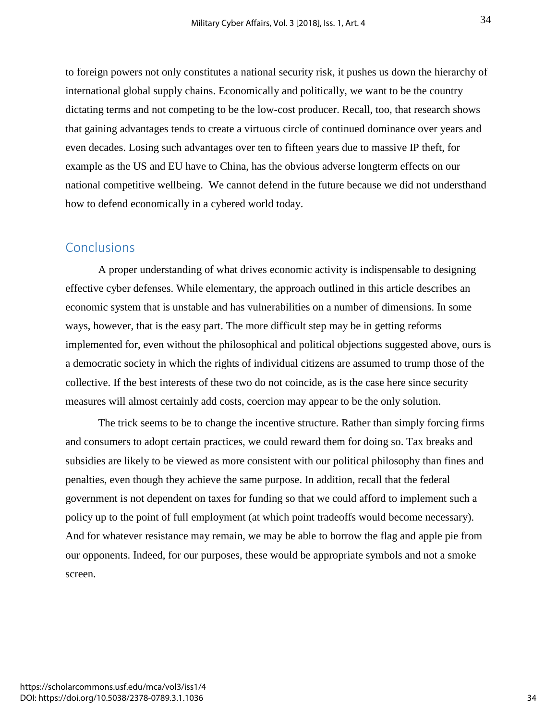to foreign powers not only constitutes a national security risk, it pushes us down the hierarchy of international global supply chains. Economically and politically, we want to be the country dictating terms and not competing to be the low-cost producer. Recall, too, that research shows that gaining advantages tends to create a virtuous circle of continued dominance over years and even decades. Losing such advantages over ten to fifteen years due to massive IP theft, for example as the US and EU have to China, has the obvious adverse longterm effects on our national competitive wellbeing. We cannot defend in the future because we did not understhand how to defend economically in a cybered world today.

## **Conclusions**

A proper understanding of what drives economic activity is indispensable to designing effective cyber defenses. While elementary, the approach outlined in this article describes an economic system that is unstable and has vulnerabilities on a number of dimensions. In some ways, however, that is the easy part. The more difficult step may be in getting reforms implemented for, even without the philosophical and political objections suggested above, ours is a democratic society in which the rights of individual citizens are assumed to trump those of the collective. If the best interests of these two do not coincide, as is the case here since security measures will almost certainly add costs, coercion may appear to be the only solution.

The trick seems to be to change the incentive structure. Rather than simply forcing firms and consumers to adopt certain practices, we could reward them for doing so. Tax breaks and subsidies are likely to be viewed as more consistent with our political philosophy than fines and penalties, even though they achieve the same purpose. In addition, recall that the federal government is not dependent on taxes for funding so that we could afford to implement such a policy up to the point of full employment (at which point tradeoffs would become necessary). And for whatever resistance may remain, we may be able to borrow the flag and apple pie from our opponents. Indeed, for our purposes, these would be appropriate symbols and not a smoke screen.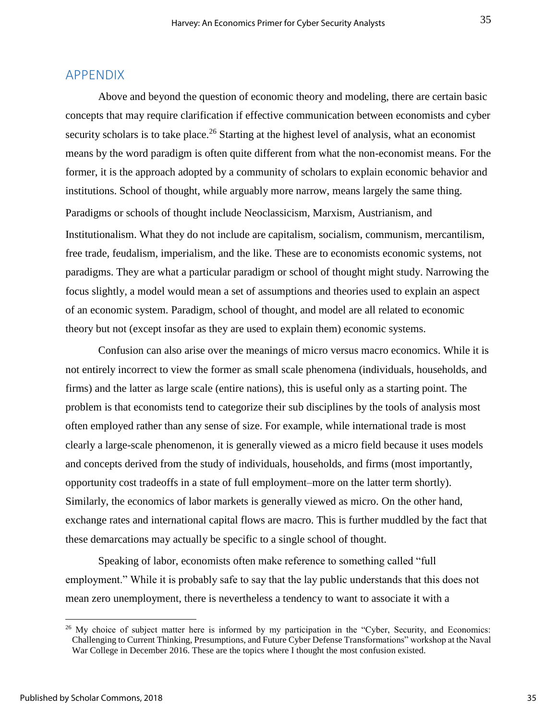### APPENDIX

Above and beyond the question of economic theory and modeling, there are certain basic concepts that may require clarification if effective communication between economists and cyber security scholars is to take place.<sup>26</sup> Starting at the highest level of analysis, what an economist means by the word paradigm is often quite different from what the non-economist means. For the former, it is the approach adopted by a community of scholars to explain economic behavior and institutions. School of thought, while arguably more narrow, means largely the same thing. Paradigms or schools of thought include Neoclassicism, Marxism, Austrianism, and Institutionalism. What they do not include are capitalism, socialism, communism, mercantilism, free trade, feudalism, imperialism, and the like. These are to economists economic systems, not paradigms. They are what a particular paradigm or school of thought might study. Narrowing the focus slightly, a model would mean a set of assumptions and theories used to explain an aspect of an economic system. Paradigm, school of thought, and model are all related to economic theory but not (except insofar as they are used to explain them) economic systems.

Confusion can also arise over the meanings of micro versus macro economics. While it is not entirely incorrect to view the former as small scale phenomena (individuals, households, and firms) and the latter as large scale (entire nations), this is useful only as a starting point. The problem is that economists tend to categorize their sub disciplines by the tools of analysis most often employed rather than any sense of size. For example, while international trade is most clearly a large-scale phenomenon, it is generally viewed as a micro field because it uses models and concepts derived from the study of individuals, households, and firms (most importantly, opportunity cost tradeoffs in a state of full employment–more on the latter term shortly). Similarly, the economics of labor markets is generally viewed as micro. On the other hand, exchange rates and international capital flows are macro. This is further muddled by the fact that these demarcations may actually be specific to a single school of thought.

Speaking of labor, economists often make reference to something called "full employment." While it is probably safe to say that the lay public understands that this does not mean zero unemployment, there is nevertheless a tendency to want to associate it with a

<sup>&</sup>lt;sup>26</sup> My choice of subject matter here is informed by my participation in the "Cyber, Security, and Economics: Challenging to Current Thinking, Presumptions, and Future Cyber Defense Transformations" workshop at the Naval War College in December 2016. These are the topics where I thought the most confusion existed.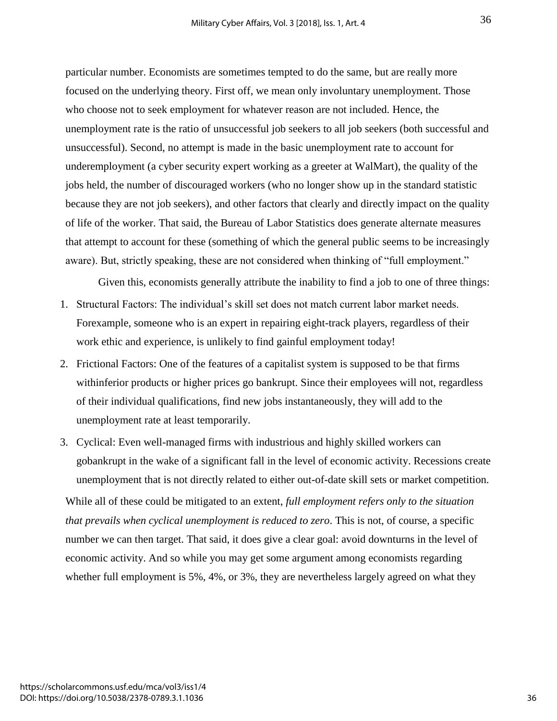particular number. Economists are sometimes tempted to do the same, but are really more focused on the underlying theory. First off, we mean only involuntary unemployment. Those who choose not to seek employment for whatever reason are not included. Hence, the unemployment rate is the ratio of unsuccessful job seekers to all job seekers (both successful and unsuccessful). Second, no attempt is made in the basic unemployment rate to account for underemployment (a cyber security expert working as a greeter at WalMart), the quality of the jobs held, the number of discouraged workers (who no longer show up in the standard statistic because they are not job seekers), and other factors that clearly and directly impact on the quality of life of the worker. That said, the Bureau of Labor Statistics does generate alternate measures that attempt to account for these (something of which the general public seems to be increasingly aware). But, strictly speaking, these are not considered when thinking of "full employment."

Given this, economists generally attribute the inability to find a job to one of three things:

- 1. Structural Factors: The individual's skill set does not match current labor market needs. Forexample, someone who is an expert in repairing eight-track players, regardless of their work ethic and experience, is unlikely to find gainful employment today!
- 2. Frictional Factors: One of the features of a capitalist system is supposed to be that firms withinferior products or higher prices go bankrupt. Since their employees will not, regardless of their individual qualifications, find new jobs instantaneously, they will add to the unemployment rate at least temporarily.
- 3. Cyclical: Even well-managed firms with industrious and highly skilled workers can gobankrupt in the wake of a significant fall in the level of economic activity. Recessions create unemployment that is not directly related to either out-of-date skill sets or market competition.

While all of these could be mitigated to an extent, *full employment refers only to the situation that prevails when cyclical unemployment is reduced to zero*. This is not, of course, a specific number we can then target. That said, it does give a clear goal: avoid downturns in the level of economic activity. And so while you may get some argument among economists regarding whether full employment is 5%, 4%, or 3%, they are nevertheless largely agreed on what they

36

36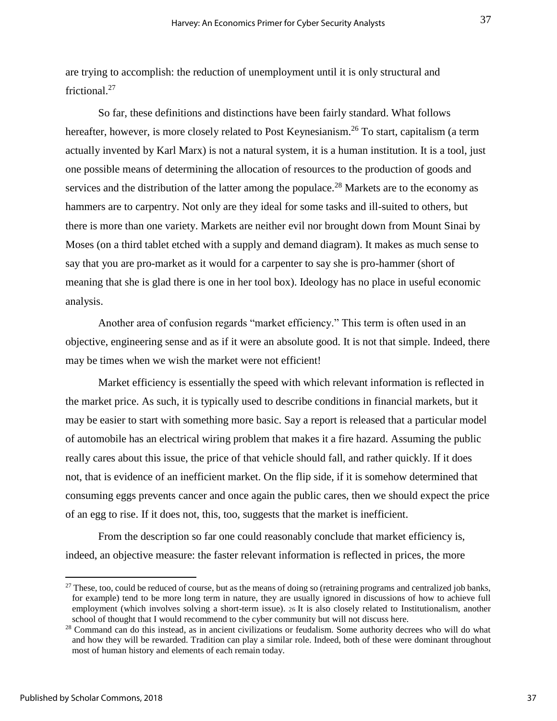are trying to accomplish: the reduction of unemployment until it is only structural and frictional.<sup>27</sup>

So far, these definitions and distinctions have been fairly standard. What follows hereafter, however, is more closely related to Post Keynesianism.<sup>26</sup> To start, capitalism (a term actually invented by Karl Marx) is not a natural system, it is a human institution. It is a tool, just one possible means of determining the allocation of resources to the production of goods and services and the distribution of the latter among the populace.<sup>28</sup> Markets are to the economy as hammers are to carpentry. Not only are they ideal for some tasks and ill-suited to others, but there is more than one variety. Markets are neither evil nor brought down from Mount Sinai by Moses (on a third tablet etched with a supply and demand diagram). It makes as much sense to say that you are pro-market as it would for a carpenter to say she is pro-hammer (short of meaning that she is glad there is one in her tool box). Ideology has no place in useful economic analysis.

Another area of confusion regards "market efficiency." This term is often used in an objective, engineering sense and as if it were an absolute good. It is not that simple. Indeed, there may be times when we wish the market were not efficient!

Market efficiency is essentially the speed with which relevant information is reflected in the market price. As such, it is typically used to describe conditions in financial markets, but it may be easier to start with something more basic. Say a report is released that a particular model of automobile has an electrical wiring problem that makes it a fire hazard. Assuming the public really cares about this issue, the price of that vehicle should fall, and rather quickly. If it does not, that is evidence of an inefficient market. On the flip side, if it is somehow determined that consuming eggs prevents cancer and once again the public cares, then we should expect the price of an egg to rise. If it does not, this, too, suggests that the market is inefficient.

From the description so far one could reasonably conclude that market efficiency is, indeed, an objective measure: the faster relevant information is reflected in prices, the more

 $27$  These, too, could be reduced of course, but as the means of doing so (retraining programs and centralized job banks, for example) tend to be more long term in nature, they are usually ignored in discussions of how to achieve full employment (which involves solving a short-term issue). 26 It is also closely related to Institutionalism, another school of thought that I would recommend to the cyber community but will not discuss here.

<sup>&</sup>lt;sup>28</sup> Command can do this instead, as in ancient civilizations or feudalism. Some authority decrees who will do what and how they will be rewarded. Tradition can play a similar role. Indeed, both of these were dominant throughout most of human history and elements of each remain today.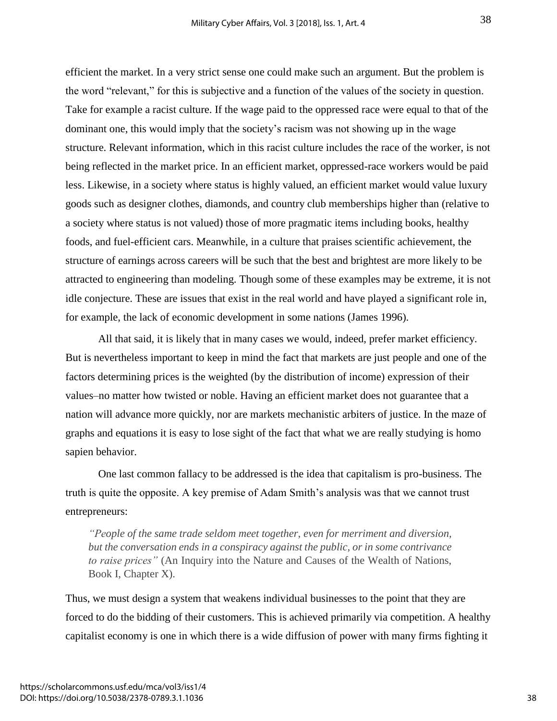efficient the market. In a very strict sense one could make such an argument. But the problem is the word "relevant," for this is subjective and a function of the values of the society in question. Take for example a racist culture. If the wage paid to the oppressed race were equal to that of the dominant one, this would imply that the society's racism was not showing up in the wage structure. Relevant information, which in this racist culture includes the race of the worker, is not being reflected in the market price. In an efficient market, oppressed-race workers would be paid less. Likewise, in a society where status is highly valued, an efficient market would value luxury goods such as designer clothes, diamonds, and country club memberships higher than (relative to a society where status is not valued) those of more pragmatic items including books, healthy foods, and fuel-efficient cars. Meanwhile, in a culture that praises scientific achievement, the structure of earnings across careers will be such that the best and brightest are more likely to be attracted to engineering than modeling. Though some of these examples may be extreme, it is not idle conjecture. These are issues that exist in the real world and have played a significant role in, for example, the lack of economic development in some nations (James 1996).

All that said, it is likely that in many cases we would, indeed, prefer market efficiency. But is nevertheless important to keep in mind the fact that markets are just people and one of the factors determining prices is the weighted (by the distribution of income) expression of their values–no matter how twisted or noble. Having an efficient market does not guarantee that a nation will advance more quickly, nor are markets mechanistic arbiters of justice. In the maze of graphs and equations it is easy to lose sight of the fact that what we are really studying is homo sapien behavior.

One last common fallacy to be addressed is the idea that capitalism is pro-business. The truth is quite the opposite. A key premise of Adam Smith's analysis was that we cannot trust entrepreneurs:

*"People of the same trade seldom meet together, even for merriment and diversion, but the conversation ends in a conspiracy against the public, or in some contrivance to raise prices"* (An Inquiry into the Nature and Causes of the Wealth of Nations, Book I, Chapter X).

Thus, we must design a system that weakens individual businesses to the point that they are forced to do the bidding of their customers. This is achieved primarily via competition. A healthy capitalist economy is one in which there is a wide diffusion of power with many firms fighting it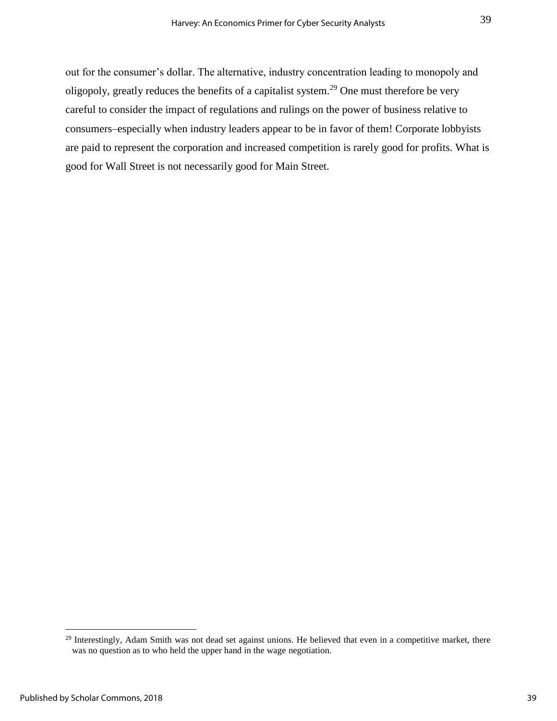out for the consumer's dollar. The alternative, industry concentration leading to monopoly and oligopoly, greatly reduces the benefits of a capitalist system.<sup>29</sup> One must therefore be very careful to consider the impact of regulations and rulings on the power of business relative to consumers–especially when industry leaders appear to be in favor of them! Corporate lobbyists are paid to represent the corporation and increased competition is rarely good for profits. What is good for Wall Street is not necessarily good for Main Street.

<sup>&</sup>lt;sup>29</sup> Interestingly, Adam Smith was not dead set against unions. He believed that even in a competitive market, there was no question as to who held the upper hand in the wage negotiation.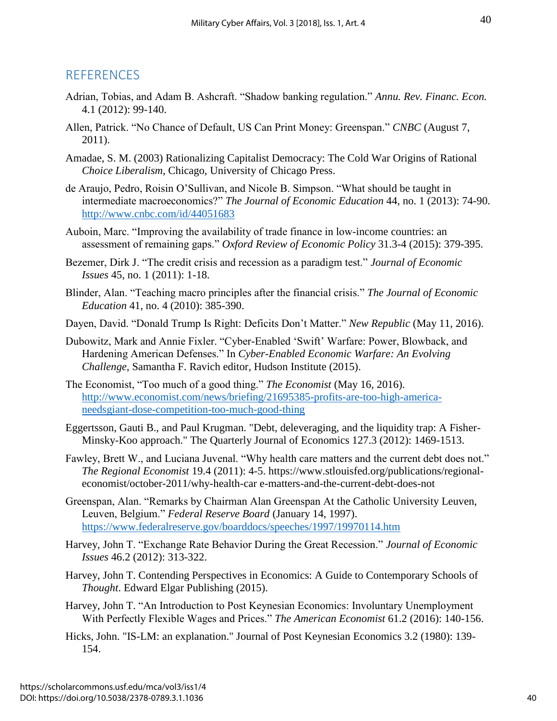## **REFERENCES**

- Adrian, Tobias, and Adam B. Ashcraft. "Shadow banking regulation." *Annu. Rev. Financ. Econ.* 4.1 (2012): 99-140.
- Allen, Patrick. "No Chance of Default, US Can Print Money: Greenspan." *CNBC* (August 7, 2011).
- Amadae, S. M. (2003) Rationalizing Capitalist Democracy: The Cold War Origins of Rational *Choice Liberalism*, Chicago, University of Chicago Press.
- de Araujo, Pedro, Roisin O'Sullivan, and Nicole B. Simpson. "What should be taught in intermediate macroeconomics?" *The Journal of Economic Education* 44, no. 1 (2013): 74-90. <http://www.cnbc.com/id/44051683>
- Auboin, Marc. "Improving the availability of trade finance in low-income countries: an assessment of remaining gaps." *Oxford Review of Economic Policy* 31.3-4 (2015): 379-395.
- Bezemer, Dirk J. "The credit crisis and recession as a paradigm test." *Journal of Economic Issues* 45, no. 1 (2011): 1-18.
- Blinder, Alan. "Teaching macro principles after the financial crisis." *The Journal of Economic Education* 41, no. 4 (2010): 385-390.
- Dayen, David. "Donald Trump Is Right: Deficits Don't Matter." *New Republic* (May 11, 2016).
- Dubowitz, Mark and Annie Fixler. "Cyber-Enabled 'Swift' Warfare: Power, Blowback, and Hardening American Defenses." In *Cyber-Enabled Economic Warfare: An Evolving Challenge*, Samantha F. Ravich editor, Hudson Institute (2015).
- The Economist, "Too much of a good thing." *The Economist* (May 16, 2016). [http://www.economist.com/news/briefing/21695385-profits-are-too-high-america](http://www.economist.com/news/briefing/21695385-profits-are-too-high-america-needsgiant-dose-competition-too-much-good-thing)[needsgiant-dose-competition-too-much-good-thing](http://www.economist.com/news/briefing/21695385-profits-are-too-high-america-needsgiant-dose-competition-too-much-good-thing)
- Eggertsson, Gauti B., and Paul Krugman. "Debt, deleveraging, and the liquidity trap: A Fisher-Minsky-Koo approach." The Quarterly Journal of Economics 127.3 (2012): 1469-1513.
- Fawley, Brett W., and Luciana Juvenal. "Why health care matters and the current debt does not." *The Regional Economist* 19.4 (2011): 4-5. https://www.stlouisfed.org/publications/regionaleconomist/october-2011/why-health-car e-matters-and-the-current-debt-does-not
- Greenspan, Alan. "Remarks by Chairman Alan Greenspan At the Catholic University Leuven, Leuven, Belgium." *Federal Reserve Board* (January 14, 1997). <https://www.federalreserve.gov/boarddocs/speeches/1997/19970114.htm>
- Harvey, John T. "Exchange Rate Behavior During the Great Recession." *Journal of Economic Issues* 46.2 (2012): 313-322.
- Harvey, John T. Contending Perspectives in Economics: A Guide to Contemporary Schools of *Thought*. Edward Elgar Publishing (2015).
- Harvey, John T. "An Introduction to Post Keynesian Economics: Involuntary Unemployment With Perfectly Flexible Wages and Prices." *The American Economist* 61.2 (2016): 140-156.
- Hicks, John. "IS-LM: an explanation." Journal of Post Keynesian Economics 3.2 (1980): 139- 154.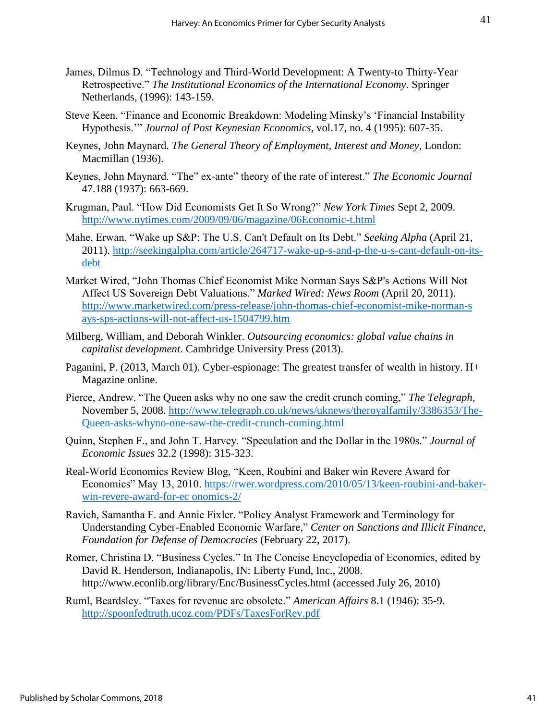- James, Dilmus D. "Technology and Third-World Development: A Twenty-to Thirty-Year Retrospective." *The Institutional Economics of the International Economy*. Springer Netherlands, (1996): 143-159.
- Steve Keen. "Finance and Economic Breakdown: Modeling Minsky's 'Financial Instability Hypothesis.'" *Journal of Post Keynesian Economics*, vol.17, no. 4 (1995): 607-35.
- Keynes, John Maynard. *The General Theory of Employment, Interest and Money*, London: Macmillan (1936).
- Keynes, John Maynard. "The" ex-ante" theory of the rate of interest." *The Economic Journal* 47.188 (1937): 663-669.
- Krugman, Paul. "How Did Economists Get It So Wrong?" *New York Times* Sept 2, 2009. <http://www.nytimes.com/2009/09/06/magazine/06Economic-t.html>
- Mahe, Erwan. "Wake up S&P: The U.S. Can't Default on Its Debt." *Seeking Alpha* (April 21, 2011). [http://seekingalpha.com/article/264717-wake-up-s-and-p-the-u-s-cant-default-on-its](http://seekingalpha.com/article/264717-wake-up-s-and-p-the-u-s-cant-default-on-its-debt)[debt](http://seekingalpha.com/article/264717-wake-up-s-and-p-the-u-s-cant-default-on-its-debt)
- Market Wired, "John Thomas Chief Economist Mike Norman Says S&P's Actions Will Not Affect US Sovereign Debt Valuations." *Marked Wired: News Room* (April 20, 2011). [http://www.marketwired.com/press-release/john-thomas-chief-economist-mike-norman-s](http://www.marketwired.com/press-release/john-thomas-chief-economist-mike-norman-s%20ays-sps-actions-will-not-affect-us-1504799.htm)  [ays-sps-actions-will-not-affect-us-1504799.htm](http://www.marketwired.com/press-release/john-thomas-chief-economist-mike-norman-s%20ays-sps-actions-will-not-affect-us-1504799.htm)
- Milberg, William, and Deborah Winkler. *Outsourcing economics: global value chains in capitalist development*. Cambridge University Press (2013).
- Paganini, P. (2013, March 01). Cyber-espionage: The greatest transfer of wealth in history. H+ Magazine online.
- Pierce, Andrew. "The Queen asks why no one saw the credit crunch coming," *The Telegraph*, November 5, 2008. [http://www.telegraph.co.uk/news/uknews/theroyalfamily/3386353/The-](http://www.telegraph.co.uk/news/uknews/theroyalfamily/3386353/The-Queen-asks-whyno-one-saw-the-credit-crunch-coming.html)[Queen-asks-whyno-one-saw-the-credit-crunch-coming.html](http://www.telegraph.co.uk/news/uknews/theroyalfamily/3386353/The-Queen-asks-whyno-one-saw-the-credit-crunch-coming.html)
- Quinn, Stephen F., and John T. Harvey. "Speculation and the Dollar in the 1980s." *Journal of Economic Issues* 32.2 (1998): 315-323.
- Real-World Economics Review Blog, "Keen, Roubini and Baker win Revere Award for Economics" May 13, 2010. [https://rwer.wordpress.com/2010/05/13/keen-roubini-and-baker](https://rwer.wordpress.com/2010/05/13/keen-roubini-and-baker-win-revere-award-for-ec%20onomics-2/)[win-revere-award-for-ec onomics-2/](https://rwer.wordpress.com/2010/05/13/keen-roubini-and-baker-win-revere-award-for-ec%20onomics-2/)
- Ravich, Samantha F. and Annie Fixler. "Policy Analyst Framework and Terminology for Understanding Cyber-Enabled Economic Warfare," *Center on Sanctions and Illicit Finance, Foundation for Defense of Democracies* (February 22, 2017).
- Romer, Christina D. "Business Cycles." In The Concise Encyclopedia of Economics, edited by David R. Henderson, Indianapolis, IN: Liberty Fund, Inc., 2008. http://www.econlib.org/library/Enc/BusinessCycles.html (accessed July 26, 2010)
- Ruml, Beardsley. "Taxes for revenue are obsolete." *American Affairs* 8.1 (1946): 35-9. <http://spoonfedtruth.ucoz.com/PDFs/TaxesForRev.pdf>